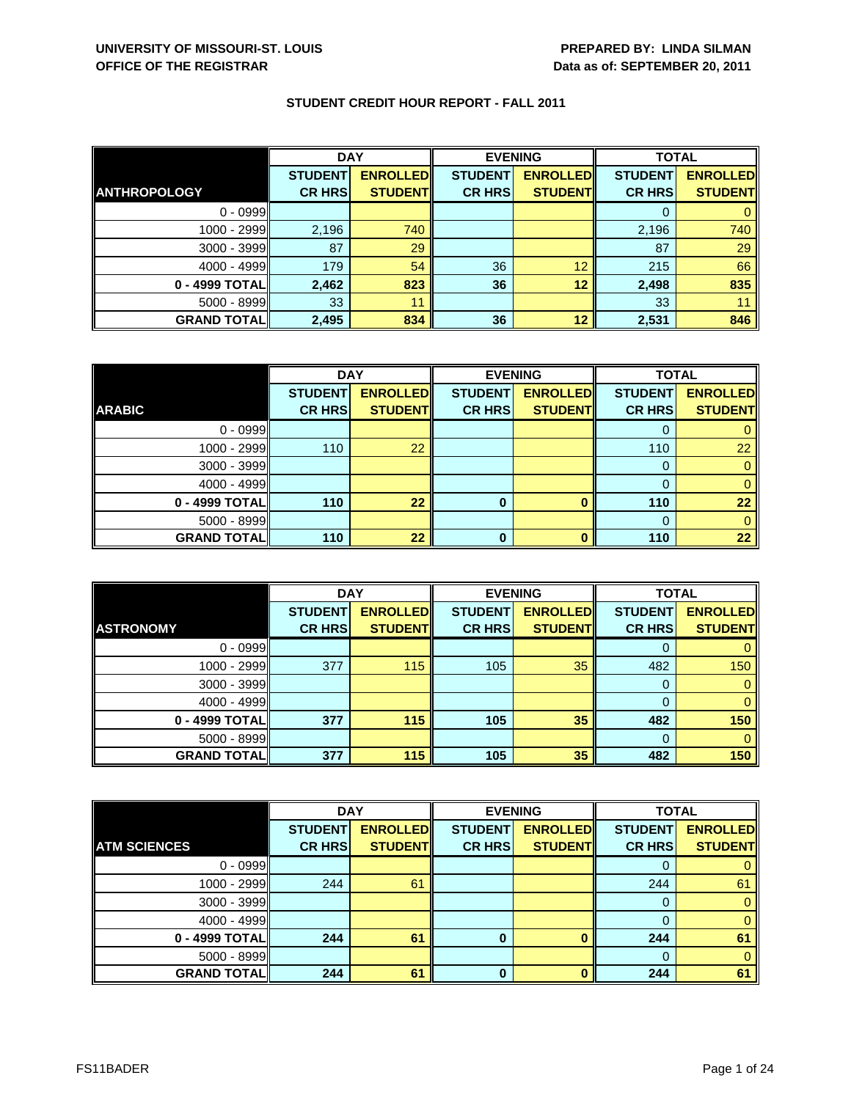| <b>STUDENT CREDIT HOUR REPORT - FALL 2011</b> |  |  |
|-----------------------------------------------|--|--|
|-----------------------------------------------|--|--|

|                     | <b>DAY</b>     |                 | <b>EVENING</b> |                 | <b>TOTAL</b>   |                 |
|---------------------|----------------|-----------------|----------------|-----------------|----------------|-----------------|
|                     | <b>STUDENT</b> | <b>ENROLLED</b> | <b>STUDENT</b> | <b>ENROLLED</b> | <b>STUDENT</b> | <b>ENROLLED</b> |
| <b>ANTHROPOLOGY</b> | <b>CR HRS</b>  | <b>STUDENT</b>  | <b>CR HRS</b>  | <b>STUDENT</b>  | <b>CR HRS</b>  | <b>STUDENT</b>  |
| $0 - 0999$          |                |                 |                |                 |                |                 |
| 1000 - 2999         | 2,196          | 740             |                |                 | 2,196          | 740             |
| $3000 - 3999$       | 87             | 29              |                |                 | 87             | 29              |
| $4000 - 4999$       | 179            | 54              | 36             | 12              | 215            | 66              |
| 0 - 4999 TOTAL      | 2,462          | 823             | 36             | 12              | 2,498          | 835             |
| $5000 - 8999$       | 33             | 11              |                |                 | 33             |                 |
| <b>GRAND TOTAL</b>  | 2,495          | 834             | 36             | 12              | 2,531          | 846             |

|                    | <b>DAY</b><br><b>EVENING</b> |                 |                | <b>TOTAL</b>    |                |                 |
|--------------------|------------------------------|-----------------|----------------|-----------------|----------------|-----------------|
|                    | <b>STUDENT</b>               | <b>ENROLLED</b> | <b>STUDENT</b> | <b>ENROLLED</b> | <b>STUDENT</b> | <b>ENROLLED</b> |
| <b>ARABIC</b>      | <b>CR HRS</b>                | <b>STUDENT</b>  | <b>CR HRS</b>  | <b>STUDENT</b>  | <b>CR HRS</b>  | <b>STUDENT</b>  |
| $0 - 0999$         |                              |                 |                |                 |                |                 |
| $1000 - 2999$      | 110                          | 22              |                |                 | 110            | 22              |
| $3000 - 3999$      |                              |                 |                |                 |                |                 |
| $4000 - 4999$      |                              |                 |                |                 |                |                 |
| 0 - 4999 TOTAL     | 110                          | 22              | $\bf{0}$       |                 | 110            | 22              |
| $5000 - 8999$      |                              |                 |                |                 |                |                 |
| <b>GRAND TOTAL</b> | 110                          | 22              | 0              |                 | 110            | 22              |

|                    | <b>DAY</b>     |                 | <b>EVENING</b> |                 | <b>TOTAL</b>   |                 |
|--------------------|----------------|-----------------|----------------|-----------------|----------------|-----------------|
|                    | <b>STUDENT</b> | <b>ENROLLED</b> | <b>STUDENT</b> | <b>ENROLLED</b> | <b>STUDENT</b> | <b>ENROLLED</b> |
| <b>ASTRONOMY</b>   | <b>CR HRS</b>  | <b>STUDENT</b>  | <b>CR HRS</b>  | <b>STUDENT</b>  | <b>CR HRS</b>  | <b>STUDENT</b>  |
| $0 - 0999$         |                |                 |                |                 |                |                 |
| $1000 - 2999$      | 377            | 115             | 105            | 35              | 482            | 150             |
| 3000 - 3999        |                |                 |                |                 |                |                 |
| $4000 - 4999$      |                |                 |                |                 |                |                 |
| 0 - 4999 TOTAL     | 377            | 115             | 105            | 35              | 482            | 150             |
| $5000 - 8999$      |                |                 |                |                 | $\Omega$       |                 |
| <b>GRAND TOTAL</b> | 377            | 115             | 105            | 35              | 482            | 150             |

|                     | <b>DAY</b>     |                 |                | <b>EVENING</b>  | <b>TOTAL</b>   |                 |
|---------------------|----------------|-----------------|----------------|-----------------|----------------|-----------------|
|                     | <b>STUDENT</b> | <b>ENROLLED</b> | <b>STUDENT</b> | <b>ENROLLED</b> | <b>STUDENT</b> | <b>ENROLLED</b> |
| <b>ATM SCIENCES</b> | <b>CR HRS</b>  | <b>STUDENTI</b> | <b>CR HRS</b>  | <b>STUDENT</b>  | <b>CR HRS</b>  | <b>STUDENT</b>  |
| $0 - 0999$          |                |                 |                |                 |                |                 |
| 1000 - 2999         | 244            | 61              |                |                 | 244            | 61              |
| 3000 - 3999         |                |                 |                |                 | 0              |                 |
| $4000 - 4999$       |                |                 |                |                 |                |                 |
| 0 - 4999 TOTAL      | 244            | 61              | 0              |                 | 244            | 61              |
| 5000 - 8999         |                |                 |                |                 |                |                 |
| <b>GRAND TOTAL</b>  | 244            | 61              | 0              |                 | 244            | 61              |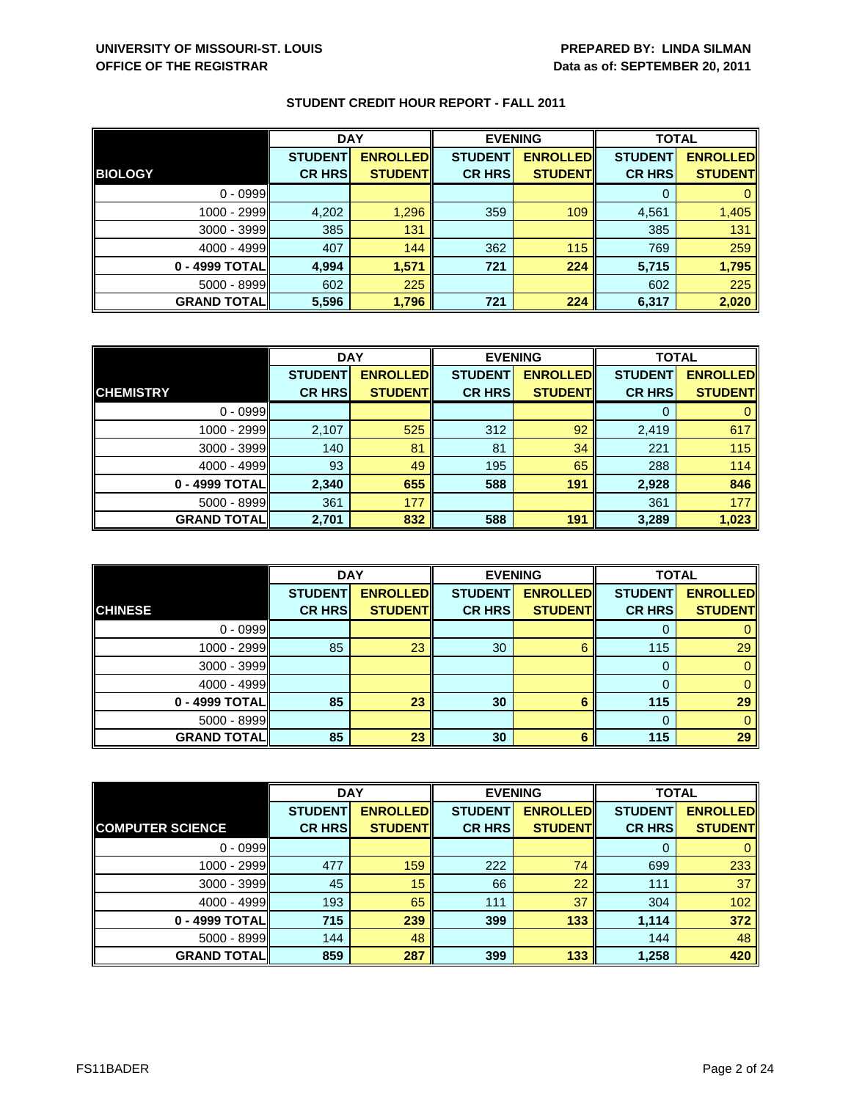|                    | <b>DAY</b>                      |                                    | <b>EVENING</b>                  |                                   | <b>TOTAL</b>                    |                                   |
|--------------------|---------------------------------|------------------------------------|---------------------------------|-----------------------------------|---------------------------------|-----------------------------------|
| <b>BIOLOGY</b>     | <b>STUDENT</b><br><b>CR HRS</b> | <b>ENROLLED</b><br><b>STUDENTI</b> | <b>STUDENT</b><br><b>CR HRS</b> | <b>ENROLLED</b><br><b>STUDENT</b> | <b>STUDENT</b><br><b>CR HRS</b> | <b>ENROLLED</b><br><b>STUDENT</b> |
|                    |                                 |                                    |                                 |                                   |                                 |                                   |
| $0 - 0999$         |                                 |                                    |                                 |                                   |                                 |                                   |
| 1000 - 2999        | 4,202                           | 1,296                              | 359                             | 109                               | 4,561                           | 1,405                             |
| $3000 - 3999$      | 385                             | 131                                |                                 |                                   | 385                             | 131                               |
| $4000 - 4999$      | 407                             | 144                                | 362                             | 115                               | 769                             | 259                               |
| 0 - 4999 TOTALI    | 4.994                           | 1,571                              | 721                             | 224                               | 5,715                           | 1,795                             |
| $5000 - 8999$      | 602                             | 225                                |                                 |                                   | 602                             | 225                               |
| <b>GRAND TOTAL</b> | 5,596                           | 1,796                              | 721                             | 224                               | 6,317                           | 2,020                             |

|                    | <b>DAY</b>     |                 | <b>EVENING</b> |                  | <b>TOTAL</b>   |                 |
|--------------------|----------------|-----------------|----------------|------------------|----------------|-----------------|
|                    | <b>STUDENT</b> | <b>ENROLLED</b> | <b>STUDENT</b> | <b>ENROLLEDI</b> | <b>STUDENT</b> | <b>ENROLLED</b> |
| <b>CHEMISTRY</b>   | <b>CR HRS</b>  | <b>STUDENT</b>  | <b>CR HRS</b>  | <b>STUDENT</b>   | <b>CR HRS</b>  | <b>STUDENT</b>  |
| $0 - 0999$         |                |                 |                |                  |                |                 |
| 1000 - 2999        | 2,107          | 525             | 312            | 92               | 2,419          | 617             |
| $3000 - 3999$      | 140            | 81              | 81             | 34               | 221            | 115             |
| $4000 - 4999$      | 93             | 49              | 195            | 65               | 288            | 114             |
| 0 - 4999 TOTAL     | 2,340          | 655             | 588            | 191              | 2,928          | 846             |
| $5000 - 8999$      | 361            | 177             |                |                  | 361            | 177             |
| <b>GRAND TOTAL</b> | 2,701          | 832             | 588            | 191              | 3,289          | 1,023           |

|                     | <b>DAY</b>     |                 | <b>EVENING</b> |                 | <b>TOTAL</b>   |                 |
|---------------------|----------------|-----------------|----------------|-----------------|----------------|-----------------|
|                     | <b>STUDENT</b> | <b>ENROLLED</b> | <b>STUDENT</b> | <b>ENROLLED</b> | <b>STUDENT</b> | <b>ENROLLED</b> |
| <b>CHINESE</b>      | <b>CR HRS</b>  | <b>STUDENT</b>  | <b>CR HRS</b>  | <b>STUDENT</b>  | <b>CR HRS</b>  | <b>STUDENT</b>  |
| $0 - 0999$          |                |                 |                |                 | O              |                 |
| $1000 - 2999$       | 85             | 23              | 30             | 6               | 115            | 29              |
| $3000 - 3999$       |                |                 |                |                 | 0              | 0               |
| $4000 - 4999$       |                |                 |                |                 | $\Omega$       |                 |
| 0 - 4999 TOTAL      | 85             | 23              | 30             | 6               | 115            | 29              |
| $5000 - 8999$       |                |                 |                |                 | $\Omega$       | 0               |
| <b>GRAND TOTALI</b> | 85             | 23              | 30             | 6               | 115            | 29              |

|                         | <b>DAY</b>     |                 | <b>EVENING</b> |                 | <b>TOTAL</b>   |                 |
|-------------------------|----------------|-----------------|----------------|-----------------|----------------|-----------------|
|                         | <b>STUDENT</b> | <b>ENROLLED</b> | <b>STUDENT</b> | <b>ENROLLED</b> | <b>STUDENT</b> | <b>ENROLLED</b> |
| <b>COMPUTER SCIENCE</b> | <b>CR HRS</b>  | <b>STUDENT</b>  | <b>CR HRS</b>  | <b>STUDENT</b>  | <b>CR HRS</b>  | <b>STUDENT</b>  |
| $0 - 0999$              |                |                 |                |                 | 0              | $\mathbf{0}$    |
| 1000 - 2999             | 477            | 159             | 222            | 74              | 699            | 233             |
| $3000 - 3999$           | 45             | 15              | 66             | 22              | 111            | 37              |
| $4000 - 4999$           | 193            | 65              | 111            | 37              | 304            | 102             |
| 0 - 4999 TOTAL          | 715            | 239             | 399            | 133             | 1,114          | 372             |
| $5000 - 8999$           | 144            | 48              |                |                 | 144            | 48              |
| <b>GRAND TOTALI</b>     | 859            | 287             | 399            | 133             | 1,258          | 420             |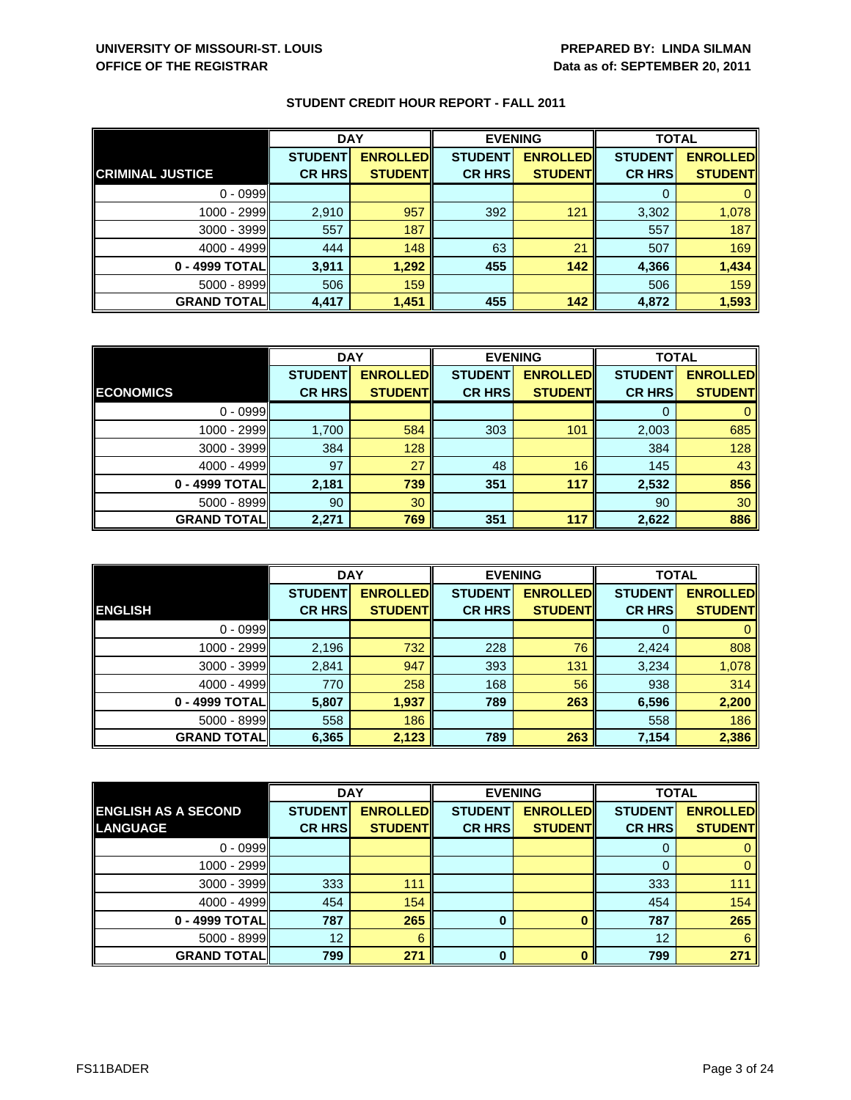|                         | <b>DAY</b>     |                 | <b>EVENING</b> |                 | <b>TOTAL</b>   |                 |
|-------------------------|----------------|-----------------|----------------|-----------------|----------------|-----------------|
|                         | <b>STUDENT</b> | <b>ENROLLED</b> | <b>STUDENT</b> | <b>ENROLLED</b> | <b>STUDENT</b> | <b>ENROLLED</b> |
| <b>CRIMINAL JUSTICE</b> | <b>CR HRS</b>  | <b>STUDENT</b>  | <b>CR HRS</b>  | <b>STUDENT</b>  | <b>CR HRS</b>  | <b>STUDENT</b>  |
| $0 - 0999$              |                |                 |                |                 |                |                 |
| 1000 - 2999             | 2,910          | 957             | 392            | 121             | 3,302          | 1,078           |
| 3000 - 3999             | 557            | 187             |                |                 | 557            | 187             |
| $4000 - 4999$           | 444            | 148             | 63             | 21              | 507            | 169             |
| 0 - 4999 TOTAL          | 3,911          | 1,292           | 455            | 142             | 4,366          | 1,434           |
| $5000 - 8999$           | 506            | 159             |                |                 | 506            | 159             |
| <b>GRAND TOTAL</b>      | 4,417          | 1,451           | 455            | 142             | 4,872          | 1,593           |

|                    | <b>DAY</b>     |                 |                | <b>EVENING</b>  | <b>TOTAL</b>   |                 |
|--------------------|----------------|-----------------|----------------|-----------------|----------------|-----------------|
|                    | <b>STUDENT</b> | <b>ENROLLED</b> | <b>STUDENT</b> | <b>ENROLLED</b> | <b>STUDENT</b> | <b>ENROLLED</b> |
| <b>ECONOMICS</b>   | <b>CR HRS</b>  | <b>STUDENT</b>  | <b>CR HRS</b>  | <b>STUDENT</b>  | <b>CR HRS</b>  | <b>STUDENT</b>  |
| $0 - 0999$         |                |                 |                |                 |                |                 |
| $1000 - 2999$      | 1,700          | 584             | 303            | 101             | 2,003          | 685             |
| $3000 - 3999$      | 384            | 128             |                |                 | 384            | 128             |
| $4000 - 4999$      | 97             | 27              | 48             | 16              | 145            | 43              |
| 0 - 4999 TOTAL     | 2,181          | 739             | 351            | 117             | 2,532          | 856             |
| $5000 - 8999$      | 90             | 30              |                |                 | 90             | 30              |
| <b>GRAND TOTAL</b> | 2,271          | 769             | 351            | 117             | 2,622          | 886             |

|                     | <b>DAY</b>     |                 |                | <b>EVENING</b>  | <b>TOTAL</b>   |                 |
|---------------------|----------------|-----------------|----------------|-----------------|----------------|-----------------|
|                     | <b>STUDENT</b> | <b>ENROLLED</b> | <b>STUDENT</b> | <b>ENROLLED</b> | <b>STUDENT</b> | <b>ENROLLED</b> |
| <b>ENGLISH</b>      | <b>CR HRS</b>  | <b>STUDENT</b>  | <b>CR HRS</b>  | <b>STUDENT</b>  | <b>CR HRS</b>  | <b>STUDENT</b>  |
| $0 - 0999$          |                |                 |                |                 | O              |                 |
| 1000 - 2999         | 2,196          | 732             | 228            | 76              | 2,424          | 808             |
| $3000 - 3999$       | 2,841          | 947             | 393            | 131             | 3,234          | 1,078           |
| $4000 - 4999$       | 770            | 258             | 168            | 56              | 938            | 314             |
| 0 - 4999 TOTAL      | 5,807          | 1,937           | 789            | 263             | 6,596          | 2,200           |
| $5000 - 8999$       | 558            | 186             |                |                 | 558            | 186             |
| <b>GRAND TOTALI</b> | 6,365          | 2,123           | 789            | 263             | 7,154          | 2,386           |

|                            | <b>DAY</b>     |                 |                | <b>EVENING</b>  | <b>TOTAL</b>   |                 |
|----------------------------|----------------|-----------------|----------------|-----------------|----------------|-----------------|
| <b>ENGLISH AS A SECOND</b> | <b>STUDENT</b> | <b>ENROLLED</b> | <b>STUDENT</b> | <b>ENROLLED</b> | <b>STUDENT</b> | <b>ENROLLED</b> |
| LANGUAGE                   | <b>CR HRS</b>  | <b>STUDENT</b>  | <b>CR HRS</b>  | <b>STUDENT</b>  | <b>CR HRS</b>  | <b>STUDENT</b>  |
| $0 - 0999$                 |                |                 |                |                 | O              | 0               |
| 1000 - 2999                |                |                 |                |                 | 0              | 0               |
| $3000 - 3999$              | 333            | 111             |                |                 | 333            | 111             |
| $4000 - 4999$              | 454            | 154             |                |                 | 454            | 154             |
| 0 - 4999 TOTAL             | 787            | 265             | $\bf{0}$       |                 | 787            | 265             |
| $5000 - 8999$              | 12             | 6               |                |                 | 12             | 6               |
| <b>GRAND TOTAL</b>         | 799            | 271             | O              |                 | 799            | 271             |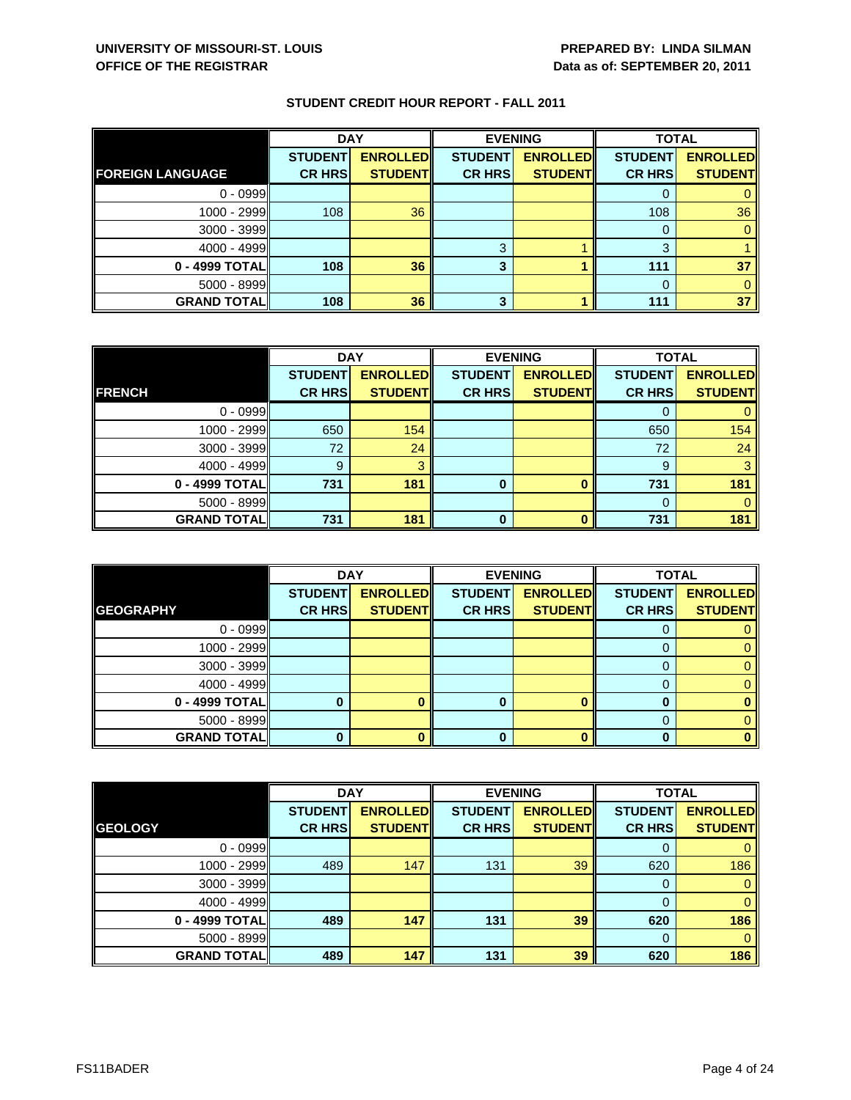|                         | <b>DAY</b>     |                 | <b>EVENING</b> |                 | <b>TOTAL</b>   |                 |
|-------------------------|----------------|-----------------|----------------|-----------------|----------------|-----------------|
|                         | <b>STUDENT</b> | <b>ENROLLED</b> | <b>STUDENT</b> | <b>ENROLLED</b> | <b>STUDENT</b> | <b>ENROLLED</b> |
| <b>FOREIGN LANGUAGE</b> | <b>CR HRS</b>  | <b>STUDENT</b>  | <b>CR HRS</b>  | <b>STUDENT</b>  | <b>CR HRS</b>  | <b>STUDENT</b>  |
| $0 - 0999$              |                |                 |                |                 |                |                 |
| 1000 - 2999             | 108            | 36              |                |                 | 108            | 36              |
| 3000 - 3999             |                |                 |                |                 |                |                 |
| $4000 - 4999$           |                |                 | 3              |                 | 3              |                 |
| 0 - 4999 TOTAL          | 108            | 36              | 3              |                 | 111            | 37              |
| 5000 - 8999             |                |                 |                |                 |                |                 |
| <b>GRAND TOTAL</b>      | 108            | 36              | 3              |                 | 111            | 37              |

|                    | <b>DAY</b>     |                 |                | <b>EVENING</b>  | <b>TOTAL</b>   |                 |
|--------------------|----------------|-----------------|----------------|-----------------|----------------|-----------------|
|                    | <b>STUDENT</b> | <b>ENROLLED</b> | <b>STUDENT</b> | <b>ENROLLED</b> | <b>STUDENT</b> | <b>ENROLLED</b> |
| <b>FRENCH</b>      | <b>CR HRS</b>  | <b>STUDENT</b>  | <b>CR HRS</b>  | <b>STUDENT</b>  | <b>CR HRS</b>  | <b>STUDENT</b>  |
| $0 - 0999$         |                |                 |                |                 |                |                 |
| 1000 - 2999        | 650            | 154             |                |                 | 650            | 154             |
| $3000 - 3999$      | 72             | 24              |                |                 | 72             | 24              |
| $4000 - 4999$      | 9              | વ               |                |                 | 9              | 3               |
| 0 - 4999 TOTAL     | 731            | 181             | 0              | O               | 731            | 181             |
| $5000 - 8999$      |                |                 |                |                 |                |                 |
| <b>GRAND TOTAL</b> | 731            | 181             | ŋ              | n               | 731            | 181             |

|                    | <b>DAY</b>                      |                                   | <b>EVENING</b>                  |                                   | <b>TOTAL</b>                    |                                   |
|--------------------|---------------------------------|-----------------------------------|---------------------------------|-----------------------------------|---------------------------------|-----------------------------------|
| <b>GEOGRAPHY</b>   | <b>STUDENT</b><br><b>CR HRS</b> | <b>ENROLLED</b><br><b>STUDENT</b> | <b>STUDENT</b><br><b>CR HRS</b> | <b>ENROLLED</b><br><b>STUDENT</b> | <b>STUDENT</b><br><b>CR HRS</b> | <b>ENROLLED</b><br><b>STUDENT</b> |
| $0 - 0999$         |                                 |                                   |                                 |                                   |                                 |                                   |
|                    |                                 |                                   |                                 |                                   | O                               |                                   |
| 1000 - 2999        |                                 |                                   |                                 |                                   |                                 |                                   |
| $3000 - 3999$      |                                 |                                   |                                 |                                   |                                 |                                   |
| $4000 - 4999$      |                                 |                                   |                                 |                                   | 0                               |                                   |
| 0 - 4999 TOTAL     |                                 |                                   |                                 | ∩                                 |                                 |                                   |
| $5000 - 8999$      |                                 |                                   |                                 |                                   |                                 |                                   |
| <b>GRAND TOTAL</b> |                                 |                                   | 0                               |                                   |                                 |                                   |

|                    | <b>DAY</b>     |                 | <b>EVENING</b> |                 | <b>TOTAL</b>   |                 |
|--------------------|----------------|-----------------|----------------|-----------------|----------------|-----------------|
|                    | <b>STUDENT</b> | <b>ENROLLED</b> | <b>STUDENT</b> | <b>ENROLLED</b> | <b>STUDENT</b> | <b>ENROLLED</b> |
| <b>GEOLOGY</b>     | <b>CR HRS</b>  | <b>STUDENT</b>  | <b>CR HRS</b>  | <b>STUDENT</b>  | <b>CR HRS</b>  | <b>STUDENT</b>  |
| $0 - 0999$         |                |                 |                |                 | 0              | $\mathbf{0}$    |
| 1000 - 2999        | 489            | 147             | 131            | 39              | 620            | 186             |
| 3000 - 3999        |                |                 |                |                 | $\Omega$       | $\mathbf{0}$    |
| $4000 - 4999$      |                |                 |                |                 | $\mathbf 0$    | $\mathbf{0}$    |
| 0 - 4999 TOTAL     | 489            | 147             | 131            | 39              | 620            | 186             |
| $5000 - 8999$      |                |                 |                |                 | $\Omega$       | $\mathbf{0}$    |
| <b>GRAND TOTAL</b> | 489            | 147             | 131            | 39              | 620            | 186             |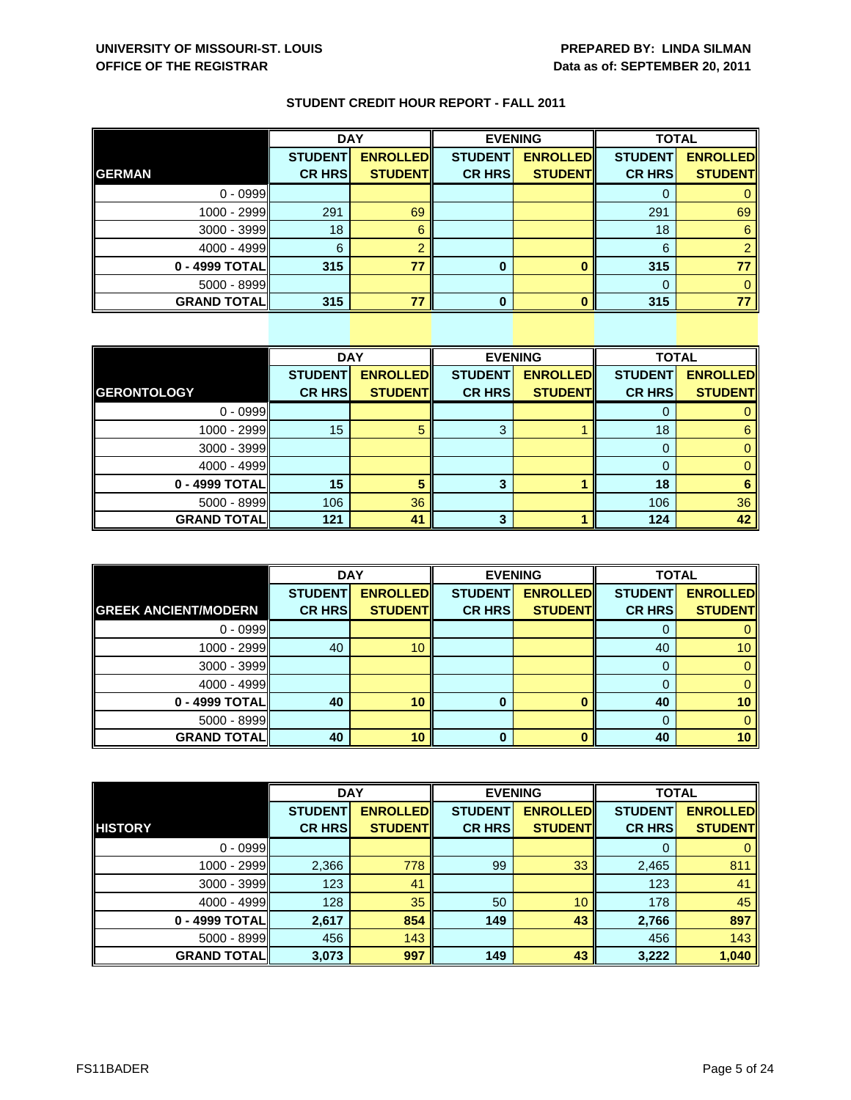|  |  |  |  | <b>STUDENT CREDIT HOUR REPORT - FALL 2011</b> |
|--|--|--|--|-----------------------------------------------|
|--|--|--|--|-----------------------------------------------|

|                    | <b>DAY</b>     |                 | <b>EVENING</b> |                 | <b>TOTAL</b>   |                 |
|--------------------|----------------|-----------------|----------------|-----------------|----------------|-----------------|
|                    | <b>STUDENT</b> | <b>ENROLLED</b> | <b>STUDENT</b> | <b>ENROLLED</b> | <b>STUDENT</b> | <b>ENROLLED</b> |
| <b>GERMAN</b>      | <b>CR HRS</b>  | <b>STUDENT</b>  | <b>CR HRS</b>  | <b>STUDENT</b>  | <b>CR HRS</b>  | <b>STUDENT</b>  |
| $0 - 0999$         |                |                 |                |                 |                |                 |
| 1000 - 2999        | 291            | 69              |                |                 | 291            | 69              |
| 3000 - 3999        | 18             | 6               |                |                 | 18             | 6               |
| $4000 - 4999$      | 6              |                 |                |                 | 6              |                 |
| 0 - 4999 TOTAL     | 315            | 77              | 0              |                 | 315            |                 |
| 5000 - 8999        |                |                 |                |                 |                |                 |
| <b>GRAND TOTAL</b> | 315            | 77              | U              |                 | 315            |                 |

|                     | <b>DAY</b>     |                 |                | <b>EVENING</b>  | <b>TOTAL</b>   |                 |
|---------------------|----------------|-----------------|----------------|-----------------|----------------|-----------------|
|                     | <b>STUDENT</b> | <b>ENROLLED</b> | <b>STUDENT</b> | <b>ENROLLED</b> | <b>STUDENT</b> | <b>ENROLLED</b> |
| <b>GERONTOLOGY</b>  | <b>CR HRS</b>  | <b>STUDENT</b>  | <b>CR HRS</b>  | <b>STUDENT</b>  | <b>CR HRS</b>  | <b>STUDENT</b>  |
| $0 - 0999$          |                |                 |                |                 | 0              |                 |
| $1000 - 2999$       | 15             | 5               | 3              |                 | 18             | 6               |
| $3000 - 3999$       |                |                 |                |                 |                | $\mathbf 0$     |
| $4000 - 4999$       |                |                 |                |                 | 0              | $\mathbf{0}$    |
| 0 - 4999 TOTAL      | 15             | 5               | 3              |                 | 18             | 6               |
| $5000 - 8999$       | 106            | 36              |                |                 | 106            | 36              |
| <b>GRAND TOTALI</b> | 121            | 41              | 3              |                 | 124            | 42              |

|                             | <b>DAY</b>     |                 | <b>EVENING</b> |                 | <b>TOTAL</b>   |                 |
|-----------------------------|----------------|-----------------|----------------|-----------------|----------------|-----------------|
|                             | <b>STUDENT</b> | <b>ENROLLED</b> | <b>STUDENT</b> | <b>ENROLLED</b> | <b>STUDENT</b> | <b>ENROLLED</b> |
| <b>GREEK ANCIENT/MODERN</b> | <b>CR HRS</b>  | <b>STUDENT</b>  | <b>CR HRS</b>  | <b>STUDENT</b>  | <b>CR HRS</b>  | <b>STUDENT</b>  |
| $0 - 0999$                  |                |                 |                |                 | O              | 0               |
| 1000 - 2999                 | 40             | 10              |                |                 | 40             | 10 <sup>°</sup> |
| 3000 - 3999                 |                |                 |                |                 | $\Omega$       | $\Omega$        |
| $4000 - 4999$               |                |                 |                |                 | 0              | $\mathbf{0}$    |
| 0 - 4999 TOTAL              | 40             | 10              | 0              |                 | 40             | 10              |
| $5000 - 8999$               |                |                 |                |                 | 0              | $\mathbf{0}$    |
| <b>GRAND TOTALI</b>         | 40             | 10              | 0              |                 | 40             | 10 <sup>1</sup> |

|                    | <b>DAY</b>     |                 | <b>EVENING</b> |                 | <b>TOTAL</b>   |                 |
|--------------------|----------------|-----------------|----------------|-----------------|----------------|-----------------|
|                    | <b>STUDENT</b> | <b>ENROLLED</b> | <b>STUDENT</b> | <b>ENROLLED</b> | <b>STUDENT</b> | <b>ENROLLED</b> |
| <b>HISTORY</b>     | <b>CR HRS</b>  | <b>STUDENT</b>  | <b>CR HRS</b>  | <b>STUDENT</b>  | <b>CR HRS</b>  | <b>STUDENT</b>  |
| $0 - 0999$         |                |                 |                |                 | 0              | $\mathbf{0}$    |
| 1000 - 2999        | 2,366          | 778             | 99             | 33              | 2,465          | 811             |
| 3000 - 3999        | 123            | 41              |                |                 | 123            | 41              |
| $4000 - 4999$      | 128            | 35              | 50             | 10              | 178            | 45              |
| 0 - 4999 TOTAL     | 2,617          | 854             | 149            | 43              | 2,766          | 897             |
| 5000 - 8999        | 456            | 143             |                |                 | 456            | 143             |
| <b>GRAND TOTAL</b> | 3,073          | 997             | 149            | 43              | 3,222          | 1,040           |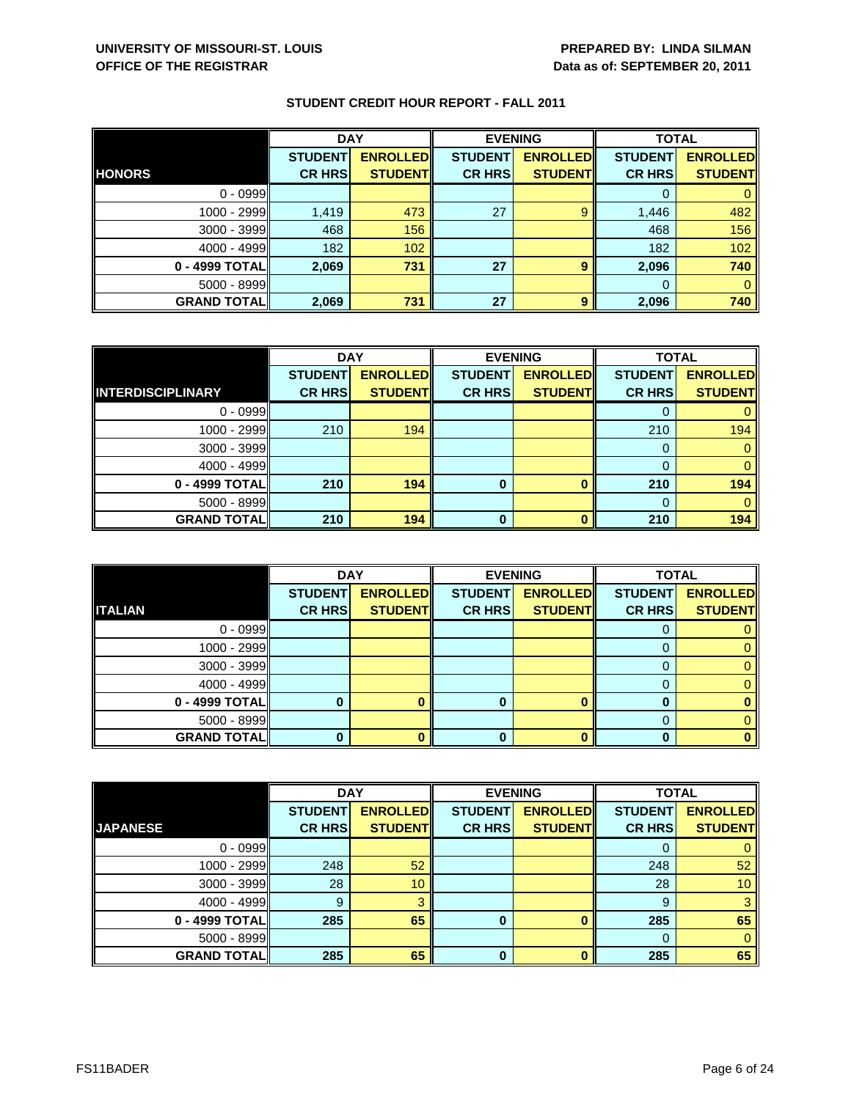|                    | <b>DAY</b>                      |                                   | <b>EVENING</b>                  |                                   | <b>TOTAL</b>                    |                                   |
|--------------------|---------------------------------|-----------------------------------|---------------------------------|-----------------------------------|---------------------------------|-----------------------------------|
| <b>HONORS</b>      | <b>STUDENT</b><br><b>CR HRS</b> | <b>ENROLLED</b><br><b>STUDENT</b> | <b>STUDENT</b><br><b>CR HRS</b> | <b>ENROLLED</b><br><b>STUDENT</b> | <b>STUDENT</b><br><b>CR HRS</b> | <b>ENROLLED</b><br><b>STUDENT</b> |
| $0 - 0999$         |                                 |                                   |                                 |                                   |                                 |                                   |
|                    |                                 |                                   |                                 |                                   |                                 |                                   |
| 1000 - 2999        | 1,419                           | 473                               | 27                              | $\mathbf{9}$                      | 1,446                           | 482                               |
| 3000 - 3999        | 468                             | 156                               |                                 |                                   | 468                             | 156                               |
| $4000 - 4999$      | 182                             | 102                               |                                 |                                   | 182                             | 102                               |
| 0 - 4999 TOTAL     | 2,069                           | 731                               | 27                              | 9                                 | 2,096                           | 740                               |
| $5000 - 8999$      |                                 |                                   |                                 |                                   | $\Omega$                        |                                   |
| <b>GRAND TOTAL</b> | 2,069                           | 731                               | 27                              | 9                                 | 2,096                           | 740                               |

|                          | <b>DAY</b>     |                 |                | <b>EVENING</b>  |                | <b>TOTAL</b>    |  |
|--------------------------|----------------|-----------------|----------------|-----------------|----------------|-----------------|--|
|                          | <b>STUDENT</b> | <b>ENROLLED</b> | <b>STUDENT</b> | <b>ENROLLED</b> | <b>STUDENT</b> | <b>ENROLLED</b> |  |
| <b>INTERDISCIPLINARY</b> | <b>CR HRS</b>  | <b>STUDENT</b>  | <b>CR HRS</b>  | <b>STUDENT</b>  | <b>CR HRS</b>  | <b>STUDENT</b>  |  |
| $0 - 0999$               |                |                 |                |                 |                |                 |  |
| 1000 - 2999              | 210            | 194             |                |                 | 210            | 194             |  |
| $3000 - 3999$            |                |                 |                |                 |                |                 |  |
| $4000 - 4999$            |                |                 |                |                 |                |                 |  |
| 0 - 4999 TOTAL           | 210            | 194             | 0              |                 | 210            | 194             |  |
| $5000 - 8999$            |                |                 |                |                 |                |                 |  |
| <b>GRAND TOTAL</b>       | 210            | 194             | ŋ              | ∩               | 210            | 194             |  |

|                    | <b>DAY</b>     |                 |                | <b>EVENING</b>  | <b>TOTAL</b>   |                 |
|--------------------|----------------|-----------------|----------------|-----------------|----------------|-----------------|
|                    | <b>STUDENT</b> | <b>ENROLLED</b> | <b>STUDENT</b> | <b>ENROLLED</b> | <b>STUDENT</b> | <b>ENROLLED</b> |
| <b>ITALIAN</b>     | <b>CR HRS</b>  | <b>STUDENT</b>  | <b>CR HRS</b>  | <b>STUDENT</b>  | <b>CR HRS</b>  | <b>STUDENT</b>  |
| $0 - 0999$         |                |                 |                |                 | O              |                 |
| 1000 - 2999        |                |                 |                |                 |                |                 |
| $3000 - 3999$      |                |                 |                |                 |                |                 |
| $4000 - 4999$      |                |                 |                |                 | 0              |                 |
| 0 - 4999 TOTAL     |                |                 |                | ∩               |                |                 |
| $5000 - 8999$      |                |                 |                |                 |                |                 |
| <b>GRAND TOTAL</b> |                |                 | 0              |                 | O              |                 |

|                    | <b>DAY</b>     |                 |                | <b>EVENING</b>  | <b>TOTAL</b>   |                 |
|--------------------|----------------|-----------------|----------------|-----------------|----------------|-----------------|
|                    | <b>STUDENT</b> | <b>ENROLLED</b> | <b>STUDENT</b> | <b>ENROLLED</b> | <b>STUDENT</b> | <b>ENROLLED</b> |
| <b>JAPANESE</b>    | <b>CR HRS</b>  | <b>STUDENT</b>  | <b>CR HRS</b>  | <b>STUDENT</b>  | <b>CR HRS</b>  | <b>STUDENT</b>  |
| $0 - 0999$         |                |                 |                |                 |                | 0               |
| 1000 - 2999        | 248            | 52              |                |                 | 248            | 52              |
| $3000 - 3999$      | 28             | 10              |                |                 | 28             | 10 <sup>°</sup> |
| $4000 - 4999$      | 9              | $\overline{3}$  |                |                 | 9              | 3               |
| $0 - 4999$ TOTAL   | 285            | 65              | $\bf{0}$       |                 | 285            | 65              |
| $5000 - 8999$      |                |                 |                |                 | $\Omega$       | $\mathbf{0}$    |
| <b>GRAND TOTAL</b> | 285            | 65              | O              |                 | 285            | 65              |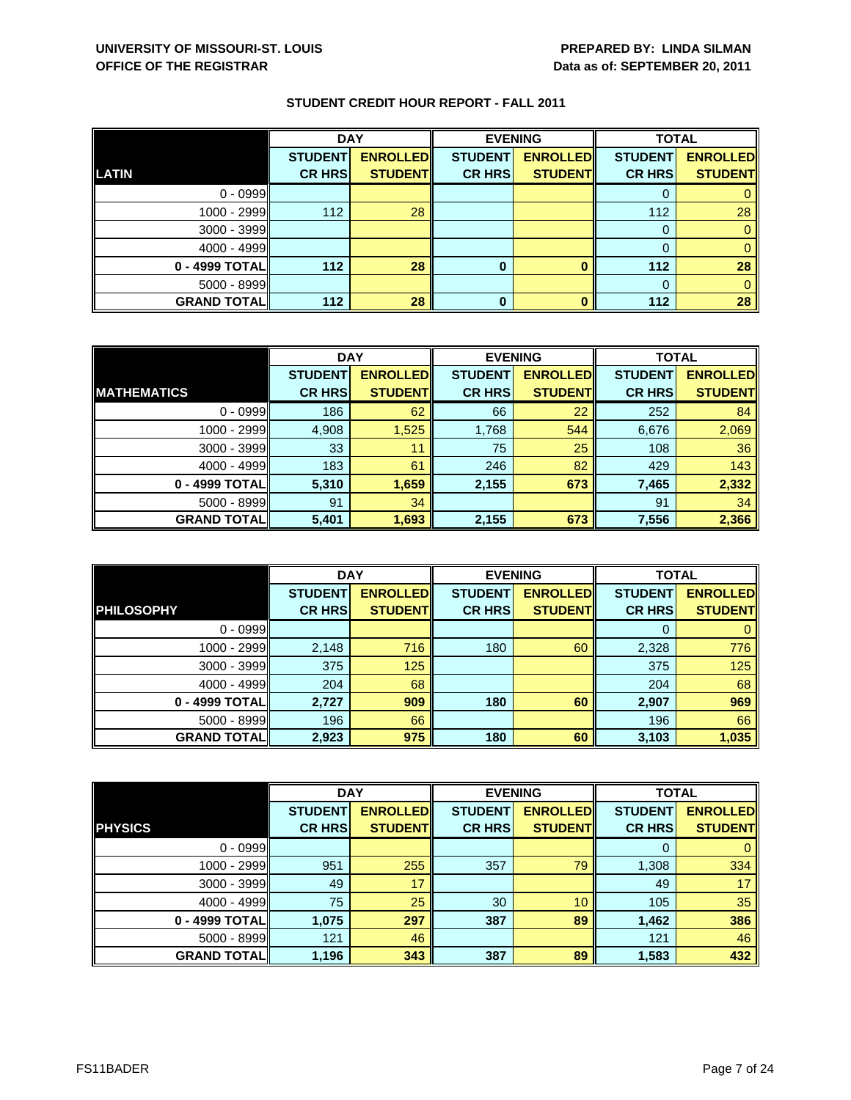|                    | <b>DAY</b>     |                 |                | <b>EVENING</b>  | <b>TOTAL</b>   |                 |
|--------------------|----------------|-----------------|----------------|-----------------|----------------|-----------------|
|                    | <b>STUDENT</b> | <b>ENROLLED</b> | <b>STUDENT</b> | <b>ENROLLED</b> | <b>STUDENT</b> | <b>ENROLLED</b> |
| LATIN              | <b>CR HRS</b>  | <b>STUDENT</b>  | <b>CR HRS</b>  | <b>STUDENT</b>  | <b>CR HRS</b>  | <b>STUDENT</b>  |
| $0 - 0999$         |                |                 |                |                 |                |                 |
| $1000 - 2999$      | 112            | 28              |                |                 | 112            | 28              |
| $3000 - 3999$      |                |                 |                |                 | 0              |                 |
| $4000 - 4999$      |                |                 |                |                 |                |                 |
| $0 - 4999$ TOTAL   | 112            | 28              | 0              |                 | 112            | 28              |
| $5000 - 8999$      |                |                 |                |                 | $\Omega$       |                 |
| <b>GRAND TOTAL</b> | 112            | 28              | 0              |                 | 112            | 28              |

|                    | <b>DAY</b>     |                 |                | <b>EVENING</b>  |                | <b>TOTAL</b>    |  |
|--------------------|----------------|-----------------|----------------|-----------------|----------------|-----------------|--|
|                    | <b>STUDENT</b> | <b>ENROLLED</b> | <b>STUDENT</b> | <b>ENROLLED</b> | <b>STUDENT</b> | <b>ENROLLED</b> |  |
| <b>MATHEMATICS</b> | <b>CR HRS</b>  | <b>STUDENT</b>  | <b>CR HRS</b>  | <b>STUDENT</b>  | <b>CR HRS</b>  | <b>STUDENT</b>  |  |
| $0 - 0999$         | 186            | 62              | 66             | 22              | 252            | 84              |  |
| $1000 - 2999$      | 4,908          | 1,525           | 1,768          | 544             | 6,676          | 2,069           |  |
| $3000 - 3999$      | 33             | 11              | 75             | 25              | 108            | 36              |  |
| $4000 - 4999$      | 183            | 61              | 246            | 82              | 429            | 143             |  |
| 0 - 4999 TOTAL     | 5,310          | 1,659           | 2,155          | 673             | 7,465          | 2,332           |  |
| $5000 - 8999$      | 91             | 34              |                |                 | 91             | 34              |  |
| <b>GRAND TOTAL</b> | 5,401          | 1,693           | 2,155          | 673             | 7,556          | 2,366           |  |

|                     | <b>DAY</b>                      |                                   |                                 | <b>EVENING</b>                    | <b>TOTAL</b>                    |                                   |
|---------------------|---------------------------------|-----------------------------------|---------------------------------|-----------------------------------|---------------------------------|-----------------------------------|
| <b>PHILOSOPHY</b>   | <b>STUDENT</b><br><b>CR HRS</b> | <b>ENROLLED</b><br><b>STUDENT</b> | <b>STUDENT</b><br><b>CR HRS</b> | <b>ENROLLED</b><br><b>STUDENT</b> | <b>STUDENT</b><br><b>CR HRS</b> | <b>ENROLLED</b><br><b>STUDENT</b> |
|                     |                                 |                                   |                                 |                                   |                                 |                                   |
| $0 - 0999$          |                                 |                                   |                                 |                                   | O                               |                                   |
| 1000 - 2999         | 2,148                           | 716                               | 180                             | 60                                | 2,328                           | 776                               |
| $3000 - 3999$       | 375                             | 125                               |                                 |                                   | 375                             | 125                               |
| $4000 - 4999$       | 204                             | 68                                |                                 |                                   | 204                             | 68                                |
| 0 - 4999 TOTAL      | 2,727                           | 909                               | 180                             | 60                                | 2,907                           | 969                               |
| $5000 - 8999$       | 196                             | 66                                |                                 |                                   | 196                             | 66                                |
| <b>GRAND TOTALI</b> | 2,923                           | 975                               | 180                             | 60                                | 3,103                           | 1,035                             |

|                    | <b>DAY</b>     |                 | <b>EVENING</b> |                 | <b>TOTAL</b>   |                 |
|--------------------|----------------|-----------------|----------------|-----------------|----------------|-----------------|
|                    | <b>STUDENT</b> | <b>ENROLLED</b> | <b>STUDENT</b> | <b>ENROLLED</b> | <b>STUDENT</b> | <b>ENROLLED</b> |
| <b>PHYSICS</b>     | <b>CR HRS</b>  | <b>STUDENT</b>  | <b>CR HRS</b>  | <b>STUDENT</b>  | <b>CR HRS</b>  | <b>STUDENT</b>  |
| $0 - 0999$         |                |                 |                |                 | 0              | $\mathbf{0}$    |
| 1000 - 2999        | 951            | 255             | 357            | 79              | 1,308          | 334             |
| 3000 - 3999        | 49             | 17              |                |                 | 49             | 17              |
| $4000 - 4999$      | 75             | 25              | 30             | 10              | 105            | 35              |
| 0 - 4999 TOTAL     | 1,075          | 297             | 387            | 89              | 1,462          | 386             |
| 5000 - 8999        | 121            | 46              |                |                 | 121            | 46              |
| <b>GRAND TOTAL</b> | 1,196          | 343             | 387            | 89              | 1,583          | 432             |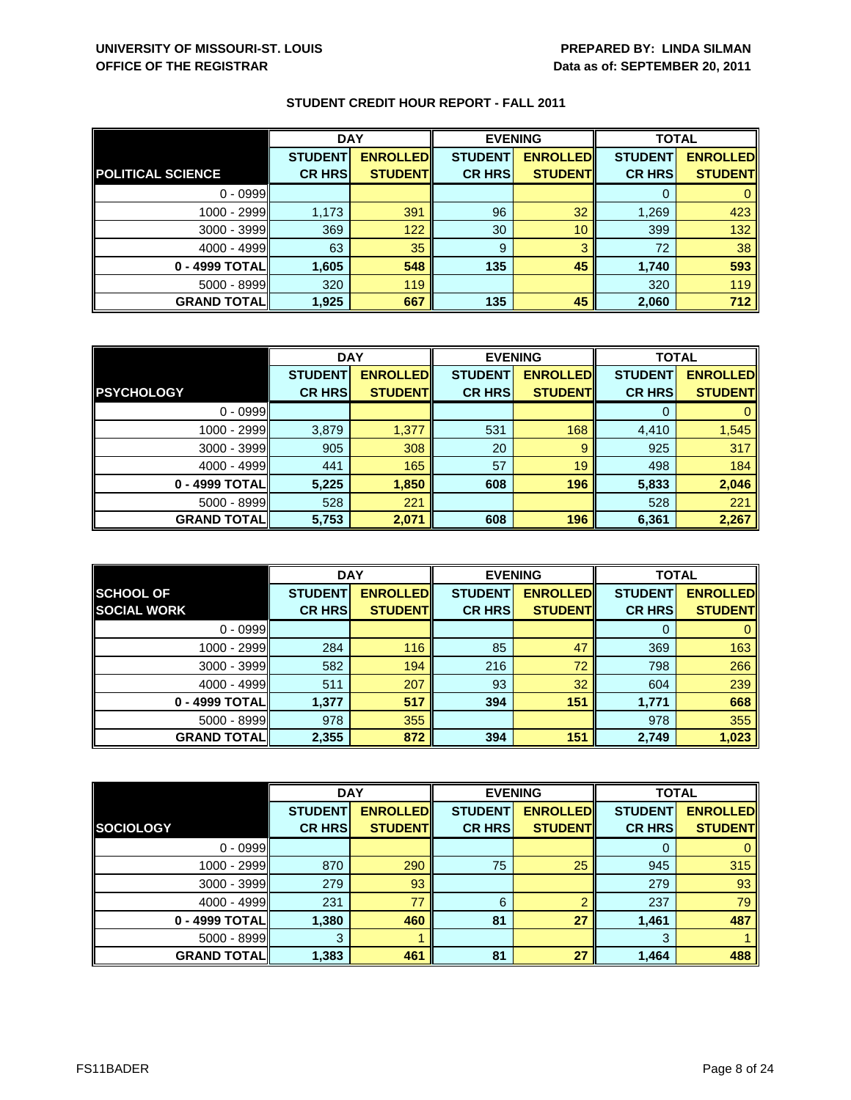|                          | <b>DAY</b>     |                 | <b>EVENING</b> |                 | <b>TOTAL</b>   |                 |
|--------------------------|----------------|-----------------|----------------|-----------------|----------------|-----------------|
|                          | <b>STUDENT</b> | <b>ENROLLED</b> | <b>STUDENT</b> | <b>ENROLLED</b> | <b>STUDENT</b> | <b>ENROLLED</b> |
| <b>POLITICAL SCIENCE</b> | <b>CR HRS</b>  | <b>STUDENT</b>  | <b>CR HRS</b>  | <b>STUDENT</b>  | <b>CR HRS</b>  | <b>STUDENT</b>  |
| $0 - 0999$               |                |                 |                |                 |                |                 |
| 1000 - 2999              | 1,173          | 391             | 96             | 32              | 1,269          | 423             |
| 3000 - 3999              | 369            | 122             | 30             | 10              | 399            | 132             |
| $4000 - 4999$            | 63             | 35              | 9              | 3               | 72             | 38              |
| 0 - 4999 TOTAL           | 1,605          | 548             | 135            | 45              | 1,740          | 593             |
| $5000 - 8999$            | 320            | 119             |                |                 | 320            | 119             |
| <b>GRAND TOTAL</b>       | 1,925          | 667             | 135            | 45              | 2,060          | 712             |

|                    | <b>DAY</b>     |                 |                | <b>EVENING</b>   |                | <b>TOTAL</b>    |  |
|--------------------|----------------|-----------------|----------------|------------------|----------------|-----------------|--|
|                    | <b>STUDENT</b> | <b>ENROLLED</b> | <b>STUDENT</b> | <b>ENROLLEDI</b> | <b>STUDENT</b> | <b>ENROLLED</b> |  |
| <b>PSYCHOLOGY</b>  | <b>CR HRS</b>  | <b>STUDENT</b>  | <b>CR HRS</b>  | <b>STUDENT</b>   | <b>CR HRS</b>  | <b>STUDENT</b>  |  |
| $0 - 0999$         |                |                 |                |                  |                |                 |  |
| 1000 - 2999        | 3,879          | 1,377           | 531            | 168              | 4,410          | 1,545           |  |
| $3000 - 3999$      | 905            | 308             | 20             | 9                | 925            | 317             |  |
| $4000 - 4999$      | 441            | 165             | 57             | 19               | 498            | 184             |  |
| 0 - 4999 TOTAL     | 5,225          | 1,850           | 608            | 196              | 5,833          | 2,046           |  |
| $5000 - 8999$      | 528            | 221             |                |                  | 528            | 221             |  |
| <b>GRAND TOTAL</b> | 5,753          | 2,071           | 608            | 196              | 6,361          | 2,267           |  |

|                     | <b>DAY</b>     |                 |                | <b>EVENING</b>  | <b>TOTAL</b>   |                 |
|---------------------|----------------|-----------------|----------------|-----------------|----------------|-----------------|
| <b>SCHOOL OF</b>    | <b>STUDENT</b> | <b>ENROLLED</b> | <b>STUDENT</b> | <b>ENROLLED</b> | <b>STUDENT</b> | <b>ENROLLED</b> |
| <b>SOCIAL WORK</b>  | <b>CR HRS</b>  | <b>STUDENT</b>  | <b>CR HRS</b>  | <b>STUDENT</b>  | <b>CR HRS</b>  | <b>STUDENT</b>  |
| $0 - 0999$          |                |                 |                |                 | O              |                 |
| 1000 - 2999         | 284            | 116             | 85             | 47              | 369            | 163             |
| $3000 - 3999$       | 582            | 194             | 216            | 72              | 798            | 266             |
| $4000 - 4999$       | 511            | 207             | 93             | 32              | 604            | 239             |
| 0 - 4999 TOTAL      | 1,377          | 517             | 394            | 151             | 1,771          | 668             |
| $5000 - 8999$       | 978            | 355             |                |                 | 978            | 355             |
| <b>GRAND TOTALI</b> | 2,355          | 872             | 394            | 151             | 2,749          | 1,023           |

|                    | <b>DAY</b>     |                 |                | <b>EVENING</b>  |                | <b>TOTAL</b>    |  |
|--------------------|----------------|-----------------|----------------|-----------------|----------------|-----------------|--|
|                    | <b>STUDENT</b> | <b>ENROLLED</b> | <b>STUDENT</b> | <b>ENROLLED</b> | <b>STUDENT</b> | <b>ENROLLED</b> |  |
| <b>SOCIOLOGY</b>   | <b>CR HRS</b>  | <b>STUDENT</b>  | <b>CR HRS</b>  | <b>STUDENT</b>  | <b>CR HRS</b>  | <b>STUDENT</b>  |  |
| $0 - 0999$         |                |                 |                |                 | 0              | $\mathbf{0}$    |  |
| 1000 - 2999        | 870            | 290             | 75             | 25              | 945            | 315             |  |
| 3000 - 3999        | 279            | 93              |                |                 | 279            | 93              |  |
| $4000 - 4999$      | 231            | 77              | 6              | റ               | 237            | 79              |  |
| 0 - 4999 TOTAL     | 1,380          | 460             | 81             | 27              | 1,461          | 487             |  |
| 5000 - 8999        | 3              |                 |                |                 | 3              |                 |  |
| <b>GRAND TOTAL</b> | 1,383          | 461             | 81             | 27              | 1,464          | 488             |  |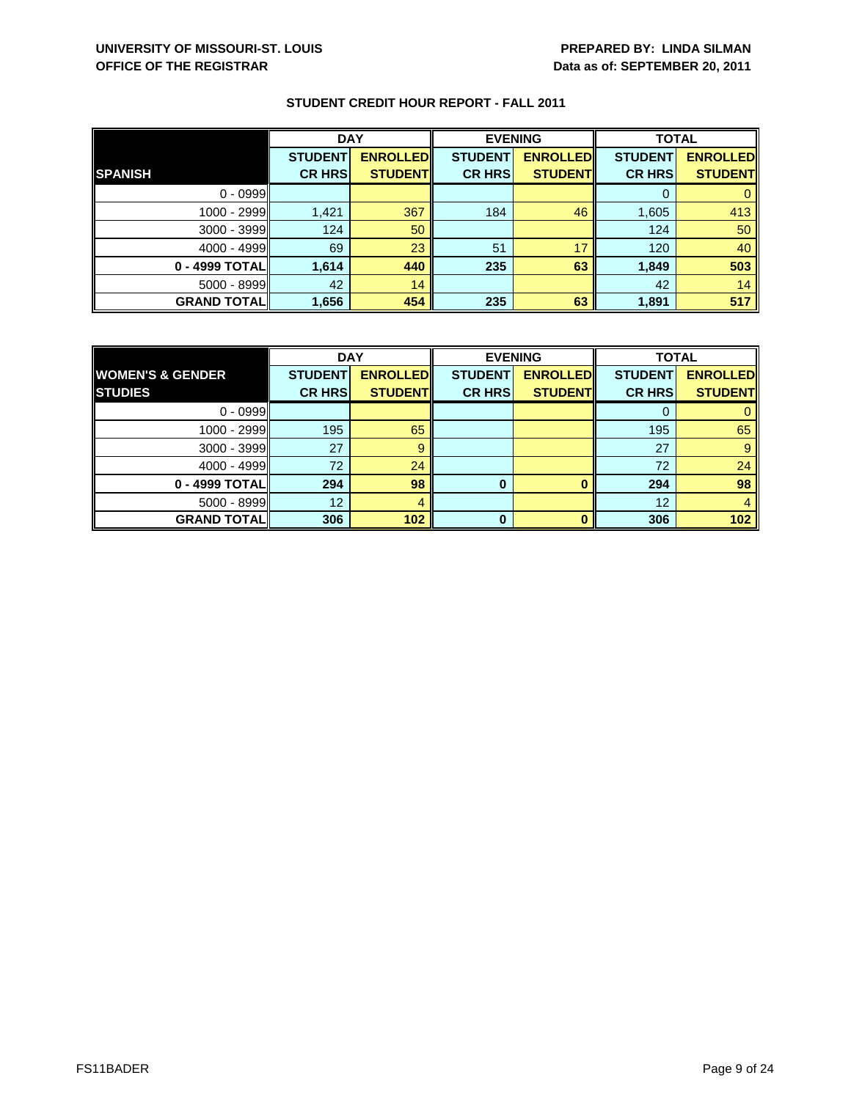|                    | <b>DAY</b>     |                 |                | <b>EVENING</b>  | <b>TOTAL</b>   |                 |
|--------------------|----------------|-----------------|----------------|-----------------|----------------|-----------------|
|                    | <b>STUDENT</b> | <b>ENROLLED</b> | <b>STUDENT</b> | <b>ENROLLED</b> | <b>STUDENT</b> | <b>ENROLLED</b> |
| <b>SPANISH</b>     | <b>CR HRS</b>  | <b>STUDENT</b>  | <b>CR HRS</b>  | <b>STUDENT</b>  | <b>CR HRS</b>  | <b>STUDENT</b>  |
| $0 - 0999$         |                |                 |                |                 |                |                 |
| 1000 - 2999        | 1,421          | 367             | 184            | 46              | 1,605          | 413             |
| 3000 - 3999        | 124            | 50              |                |                 | 124            | 50              |
| $4000 - 4999$      | 69             | 23              | 51             | 17              | 120            | 40              |
| 0 - 4999 TOTAL     | 1,614          | 440             | 235            | 63              | 1,849          | 503             |
| 5000 - 8999        | 42             | 14              |                |                 | 42             | 14              |
| <b>GRAND TOTAL</b> | 1,656          | 454             | 235            | 63              | 1,891          | 517             |

|                             | <b>DAY</b>     |                 | <b>EVENING</b> |                 | <b>TOTAL</b>    |                 |
|-----------------------------|----------------|-----------------|----------------|-----------------|-----------------|-----------------|
| <b>WOMEN'S &amp; GENDER</b> | <b>STUDENT</b> | <b>ENROLLED</b> | <b>STUDENT</b> | <b>ENROLLED</b> | <b>STUDENT</b>  | <b>ENROLLED</b> |
| <b>STUDIES</b>              | <b>CR HRS</b>  | <b>STUDENT</b>  | <b>CR HRS</b>  | <b>STUDENT</b>  | <b>CR HRS</b>   | <b>STUDENT</b>  |
| $0 - 0999$                  |                |                 |                |                 |                 |                 |
| 1000 - 2999II               | 195            | 65              |                |                 | 195             | 65              |
| 3000 - 3999                 | 27             | 9               |                |                 | 27              |                 |
| $4000 - 4999$               | 72             | 24              |                |                 | 72              | 24              |
| 0 - 4999 TOTAL              | 294            | 98              | 0              |                 | 294             | 98              |
| $5000 - 8999$               | 12             |                 |                |                 | 12 <sup>°</sup> |                 |
| <b>GRAND TOTAL</b>          | 306            | 102             | 0              |                 | 306             | 102             |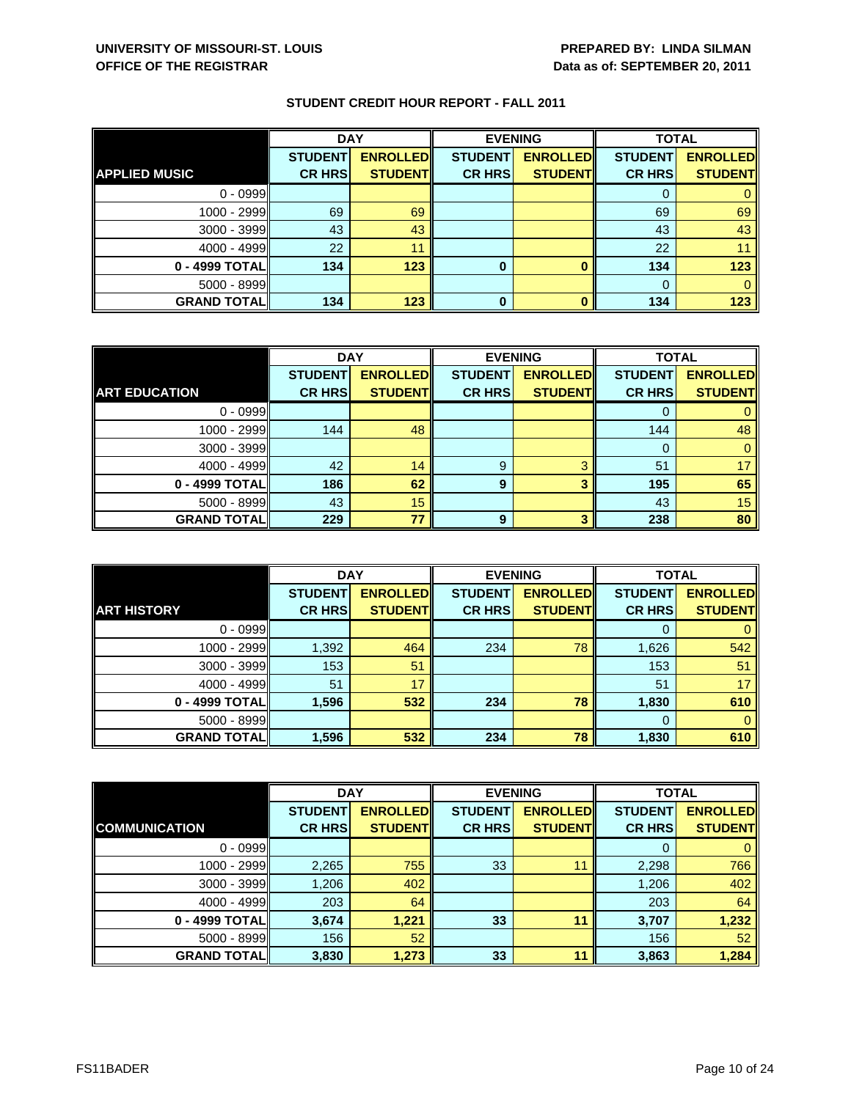|                      | <b>DAY</b>     |                 | <b>EVENING</b> |                 | <b>TOTAL</b>   |                 |
|----------------------|----------------|-----------------|----------------|-----------------|----------------|-----------------|
|                      | <b>STUDENT</b> | <b>ENROLLED</b> | <b>STUDENT</b> | <b>ENROLLED</b> | <b>STUDENT</b> | <b>ENROLLED</b> |
| <b>APPLIED MUSIC</b> | <b>CR HRS</b>  | <b>STUDENT</b>  | <b>CR HRS</b>  | <b>STUDENT</b>  | <b>CR HRS</b>  | <b>STUDENT</b>  |
| $0 - 0999$           |                |                 |                |                 |                |                 |
| 1000 - 2999          | 69             | 69              |                |                 | 69             | 69              |
| 3000 - 3999          | 43             | 43              |                |                 | 43             | 43              |
| $4000 - 4999$        | 22             | 11              |                |                 | 22             |                 |
| 0 - 4999 TOTAL       | 134            | 123             | 0              |                 | 134            | 123             |
| $5000 - 8999$        |                |                 |                |                 |                |                 |
| <b>GRAND TOTAL</b>   | 134            | 123             | $\bf{0}$       |                 | 134            | 123             |

|                      | <b>DAY</b>     |                 | <b>EVENING</b> |                 | <b>TOTAL</b>   |                 |
|----------------------|----------------|-----------------|----------------|-----------------|----------------|-----------------|
|                      | <b>STUDENT</b> | <b>ENROLLED</b> | <b>STUDENT</b> | <b>ENROLLED</b> | <b>STUDENT</b> | <b>ENROLLED</b> |
| <b>ART EDUCATION</b> | <b>CR HRS</b>  | <b>STUDENT</b>  | <b>CR HRS</b>  | <b>STUDENT</b>  | <b>CR HRS</b>  | <b>STUDENT</b>  |
| $0 - 0999$           |                |                 |                |                 |                |                 |
| 1000 - 2999          | 144            | 48              |                |                 | 144            | 48              |
| $3000 - 3999$        |                |                 |                |                 | O              |                 |
| $4000 - 4999$        | 42             | 14              | 9              | વ               | 51             | 17              |
| 0 - 4999 TOTAL       | 186            | 62              | 9              | 3               | 195            | 65              |
| $5000 - 8999$        | 43             | 15              |                |                 | 43             | 15              |
| <b>GRAND TOTAL</b>   | 229            | 77              | 9              | 2               | 238            | 80              |

|                    | <b>DAY</b>     |                 | <b>EVENING</b> |                 | <b>TOTAL</b>   |                 |
|--------------------|----------------|-----------------|----------------|-----------------|----------------|-----------------|
|                    | <b>STUDENT</b> | <b>ENROLLED</b> | <b>STUDENT</b> | <b>ENROLLED</b> | <b>STUDENT</b> | <b>ENROLLED</b> |
| <b>ART HISTORY</b> | <b>CR HRS</b>  | <b>STUDENT</b>  | <b>CR HRS</b>  | <b>STUDENT</b>  | <b>CR HRS</b>  | <b>STUDENT</b>  |
| $0 - 0999$         |                |                 |                |                 | O              |                 |
| 1000 - 2999        | 1,392          | 464             | 234            | 78              | 1,626          | 542             |
| $3000 - 3999$      | 153            | 51              |                |                 | 153            | 51              |
| $4000 - 4999$      | 51             | 17              |                |                 | 51             | 17              |
| 0 - 4999 TOTAL     | 1,596          | 532             | 234            | 78              | 1,830          | 610             |
| $5000 - 8999$      |                |                 |                |                 | $\Omega$       | 0               |
| <b>GRAND TOTAL</b> | 1,596          | 532             | 234            | 78              | 1,830          | 610             |

|                      | <b>DAY</b>     |                 |                | <b>EVENING</b>  |                | <b>TOTAL</b>    |  |
|----------------------|----------------|-----------------|----------------|-----------------|----------------|-----------------|--|
|                      | <b>STUDENT</b> | <b>ENROLLED</b> | <b>STUDENT</b> | <b>ENROLLED</b> | <b>STUDENT</b> | <b>ENROLLED</b> |  |
| <b>COMMUNICATION</b> | <b>CR HRS</b>  | <b>STUDENT</b>  | <b>CR HRS</b>  | <b>STUDENT</b>  | <b>CR HRS</b>  | <b>STUDENT</b>  |  |
| $0 - 0999$           |                |                 |                |                 | O              | 0               |  |
| 1000 - 2999          | 2,265          | 755             | 33             | 11              | 2,298          | 766             |  |
| $3000 - 3999$        | 1,206          | 402             |                |                 | 1,206          | 402             |  |
| $4000 - 4999$        | 203            | 64              |                |                 | 203            | 64              |  |
| 0 - 4999 TOTAL       | 3,674          | 1,221           | 33             | 11              | 3,707          | 1,232           |  |
| $5000 - 8999$        | 156            | 52              |                |                 | 156            | 52              |  |
| <b>GRAND TOTAL</b>   | 3,830          | 1,273           | 33             | 11              | 3,863          | 1,284           |  |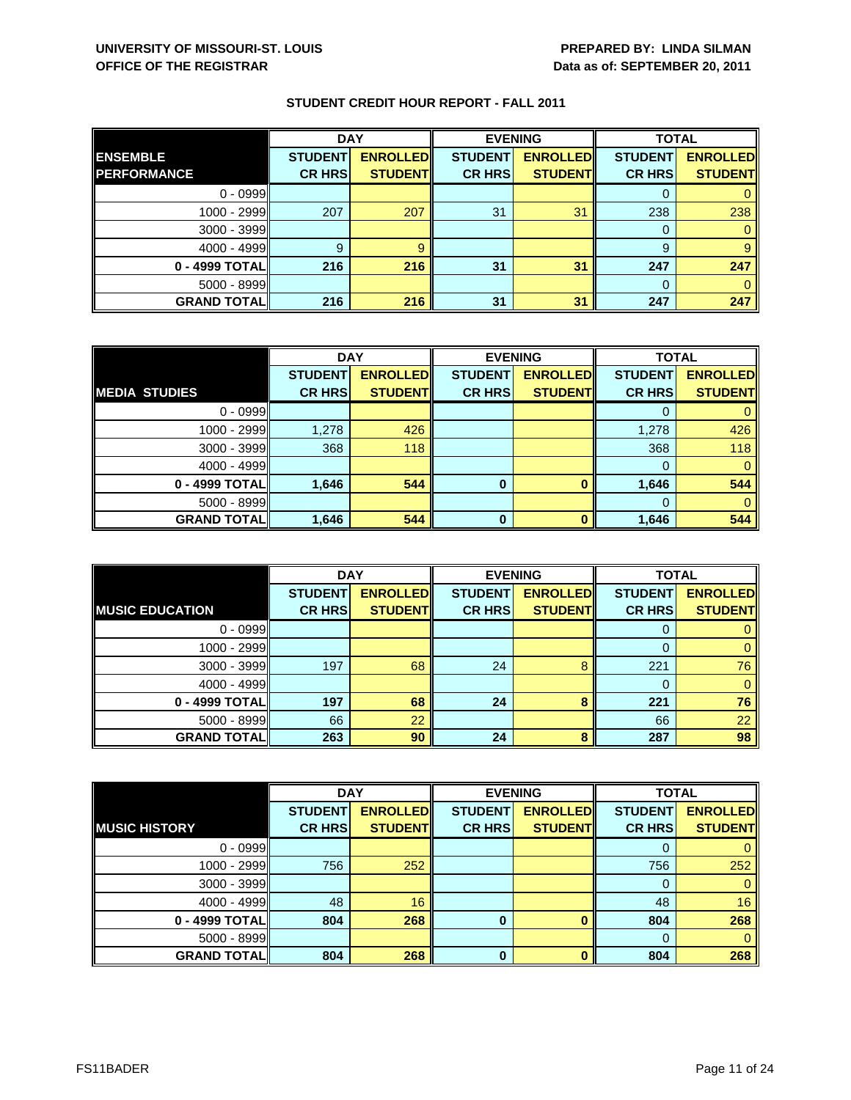|                    | <b>DAY</b>     |                 | <b>EVENING</b> |                 | <b>TOTAL</b>   |                 |
|--------------------|----------------|-----------------|----------------|-----------------|----------------|-----------------|
| <b>ENSEMBLE</b>    | <b>STUDENT</b> | <b>ENROLLED</b> | <b>STUDENT</b> | <b>ENROLLED</b> | <b>STUDENT</b> | <b>ENROLLED</b> |
| <b>PERFORMANCE</b> | <b>CR HRS</b>  | <b>STUDENT</b>  | <b>CR HRS</b>  | <b>STUDENT</b>  | <b>CR HRS</b>  | <b>STUDENT</b>  |
| $0 - 0999$         |                |                 |                |                 |                |                 |
| 1000 - 2999        | 207            | 207             | 31             | 31              | 238            | 238             |
| 3000 - 3999        |                |                 |                |                 | 0              |                 |
| $4000 - 4999$      | 9              |                 |                |                 | 9              | 9               |
| 0 - 4999 TOTAL     | 216            | 216             | 31             | 31              | 247            | 247             |
| 5000 - 8999        |                |                 |                |                 | $\Omega$       |                 |
| <b>GRAND TOTAL</b> | 216            | 216             | 31             | 31              | 247            | 247             |

|                      | <b>DAY</b>     |                 | <b>EVENING</b> |                 | <b>TOTAL</b>   |                 |
|----------------------|----------------|-----------------|----------------|-----------------|----------------|-----------------|
|                      | <b>STUDENT</b> | <b>ENROLLED</b> | <b>STUDENT</b> | <b>ENROLLED</b> | <b>STUDENT</b> | <b>ENROLLED</b> |
| <b>MEDIA STUDIES</b> | <b>CR HRS</b>  | <b>STUDENT</b>  | <b>CR HRS</b>  | <b>STUDENT</b>  | <b>CR HRS</b>  | <b>STUDENT</b>  |
| $0 - 0999$           |                |                 |                |                 |                |                 |
| 1000 - 2999          | 1,278          | 426             |                |                 | 1,278          | 426             |
| $3000 - 3999$        | 368            | 118             |                |                 | 368            | 118             |
| 4000 - 4999          |                |                 |                |                 | 0              | 0               |
| 0 - 4999 TOTAL       | 1,646          | 544             | 0              |                 | 1,646          | 544             |
| $5000 - 8999$        |                |                 |                |                 |                |                 |
| <b>GRAND TOTAL</b>   | 1,646          | 544             | O              |                 | 1,646          | 544             |

|                        | <b>DAY</b>                      |                                   |                                 | <b>EVENING</b>                    | <b>TOTAL</b>                    |                                   |
|------------------------|---------------------------------|-----------------------------------|---------------------------------|-----------------------------------|---------------------------------|-----------------------------------|
| <b>MUSIC EDUCATION</b> | <b>STUDENT</b><br><b>CR HRS</b> | <b>ENROLLED</b><br><b>STUDENT</b> | <b>STUDENT</b><br><b>CR HRS</b> | <b>ENROLLED</b><br><b>STUDENT</b> | <b>STUDENT</b><br><b>CR HRS</b> | <b>ENROLLED</b><br><b>STUDENT</b> |
|                        |                                 |                                   |                                 |                                   |                                 |                                   |
| $0 - 0999$             |                                 |                                   |                                 |                                   | O                               |                                   |
| 1000 - 2999            |                                 |                                   |                                 |                                   |                                 | 0                                 |
| 3000 - 3999            | 197                             | 68                                | 24                              | 8                                 | 221                             | 76                                |
| $4000 - 4999$          |                                 |                                   |                                 |                                   | 0                               | 0                                 |
| 0 - 4999 TOTAL         | 197                             | 68                                | 24                              | 8                                 | 221                             | 76                                |
| $5000 - 8999$          | 66                              | 22                                |                                 |                                   | 66                              | 22                                |
| <b>GRAND TOTALI</b>    | 263                             | 90                                | 24                              | 8                                 | 287                             | 98                                |

|                      | <b>DAY</b>     |                 | <b>EVENING</b> |                 | <b>TOTAL</b>   |                 |
|----------------------|----------------|-----------------|----------------|-----------------|----------------|-----------------|
|                      | <b>STUDENT</b> | <b>ENROLLED</b> | <b>STUDENT</b> | <b>ENROLLED</b> | <b>STUDENT</b> | <b>ENROLLED</b> |
| <b>MUSIC HISTORY</b> | <b>CR HRS</b>  | <b>STUDENT</b>  | <b>CR HRS</b>  | <b>STUDENT</b>  | <b>CR HRS</b>  | <b>STUDENT</b>  |
| $0 - 0999$           |                |                 |                |                 | 0              | $\mathbf{0}$    |
| 1000 - 2999          | 756            | 252             |                |                 | 756            | 252             |
| 3000 - 3999          |                |                 |                |                 | 0              | $\mathbf{0}$    |
| 4000 - 4999          | 48             | 16              |                |                 | 48             | 16              |
| 0 - 4999 TOTAL       | 804            | 268             | 0              |                 | 804            | 268             |
| $5000 - 8999$        |                |                 |                |                 | $\Omega$       | $\Omega$        |
| <b>GRAND TOTAL</b>   | 804            | 268             | $\bf{0}$       | O               | 804            | 268             |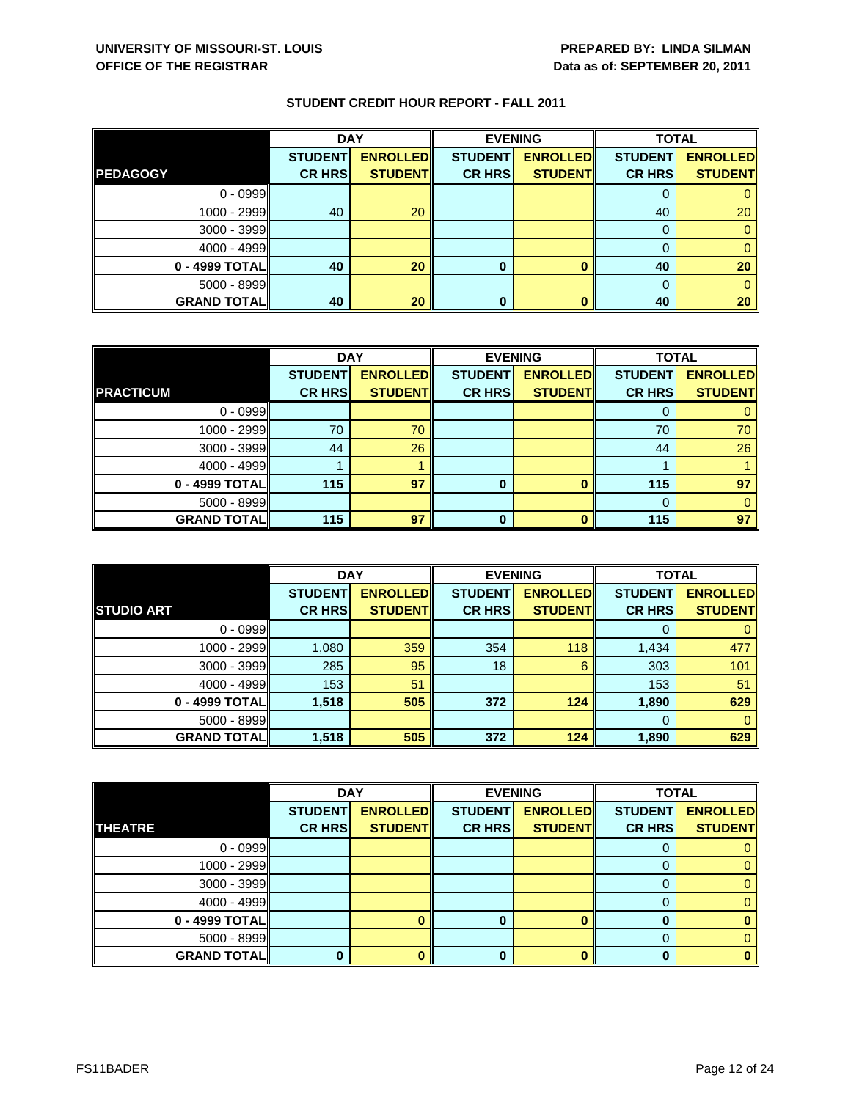|                    | <b>DAY</b>     |                 | <b>EVENING</b> |                 | <b>TOTAL</b>   |                 |
|--------------------|----------------|-----------------|----------------|-----------------|----------------|-----------------|
|                    | <b>STUDENT</b> | <b>ENROLLED</b> | <b>STUDENT</b> | <b>ENROLLED</b> | <b>STUDENT</b> | <b>ENROLLED</b> |
| <b>PEDAGOGY</b>    | <b>CR HRS</b>  | <b>STUDENT</b>  | <b>CR HRS</b>  | <b>STUDENT</b>  | <b>CR HRS</b>  | <b>STUDENT</b>  |
| $0 - 0999$         |                |                 |                |                 |                |                 |
| $1000 - 2999$      | 40             | 20              |                |                 | 40             | 20              |
| $3000 - 3999$      |                |                 |                |                 |                |                 |
| $4000 - 4999$      |                |                 |                |                 |                |                 |
| 0 - 4999 TOTAL     | 40             | 20              | 0              |                 | 40             | 20              |
| $5000 - 8999$      |                |                 |                |                 | $\Omega$       |                 |
| <b>GRAND TOTAL</b> | 40             | 20              | 0              |                 | 40             | 20              |

|                    | <b>DAY</b>     |                 | <b>EVENING</b> |                 | <b>TOTAL</b>   |                 |
|--------------------|----------------|-----------------|----------------|-----------------|----------------|-----------------|
|                    | <b>STUDENT</b> | <b>ENROLLED</b> | <b>STUDENT</b> | <b>ENROLLED</b> | <b>STUDENT</b> | <b>ENROLLED</b> |
| <b>PRACTICUM</b>   | <b>CR HRS</b>  | <b>STUDENT</b>  | <b>CR HRS</b>  | <b>STUDENT</b>  | <b>CR HRS</b>  | <b>STUDENT</b>  |
| $0 - 0999$         |                |                 |                |                 |                |                 |
| 1000 - 2999        | 70             | 70              |                |                 | 70             | 70              |
| 3000 - 3999        | 44             | 26              |                |                 | 44             | 26              |
| $4000 - 4999$      |                |                 |                |                 |                |                 |
| 0 - 4999 TOTAL     | 115            | 97              | 0              |                 | 115            | 97              |
| $5000 - 8999$      |                |                 |                |                 | 0              |                 |
| <b>GRAND TOTAL</b> | 115            | 97              |                |                 | 115            | 97              |

|                    | <b>DAY</b>                      |                                    | <b>EVENING</b>                  |                                   | <b>TOTAL</b>                    |                                   |
|--------------------|---------------------------------|------------------------------------|---------------------------------|-----------------------------------|---------------------------------|-----------------------------------|
| <b>STUDIO ART</b>  | <b>STUDENT</b><br><b>CR HRS</b> | <b>ENROLLED</b><br><b>STUDENTI</b> | <b>STUDENT</b><br><b>CR HRS</b> | <b>ENROLLED</b><br><b>STUDENT</b> | <b>STUDENT</b><br><b>CR HRS</b> | <b>ENROLLED</b><br><b>STUDENT</b> |
|                    |                                 |                                    |                                 |                                   |                                 |                                   |
| $0 - 0999$         |                                 |                                    |                                 |                                   |                                 |                                   |
| 1000 - 2999        | 1,080                           | 359                                | 354                             | 118                               | 1,434                           | 477                               |
| $3000 - 3999$      | 285                             | 95                                 | 18                              | 6                                 | 303                             | 101                               |
| $4000 - 4999$      | 153                             | 51                                 |                                 |                                   | 153                             | 51                                |
| 0 - 4999 TOTAL     | 1,518                           | 505                                | 372                             | 124                               | 1,890                           | 629                               |
| $5000 - 8999$      |                                 |                                    |                                 |                                   | 0                               | 0                                 |
| <b>GRAND TOTAL</b> | 1,518                           | 505                                | 372                             | 124                               | 1,890                           | 629                               |

|                    | <b>DAY</b>     |                 |                | <b>EVENING</b>  | <b>TOTAL</b>   |                 |
|--------------------|----------------|-----------------|----------------|-----------------|----------------|-----------------|
|                    | <b>STUDENT</b> | <b>ENROLLED</b> | <b>STUDENT</b> | <b>ENROLLED</b> | <b>STUDENT</b> | <b>ENROLLED</b> |
| <b>THEATRE</b>     | <b>CR HRS</b>  | <b>STUDENT</b>  | <b>CR HRS</b>  | <b>STUDENT</b>  | <b>CR HRSI</b> | <b>STUDENT</b>  |
| $0 - 0999$         |                |                 |                |                 |                |                 |
| $1000 - 2999$      |                |                 |                |                 |                | 0               |
| $3000 - 3999$      |                |                 |                |                 | 0              | 0.              |
| $4000 - 4999$      |                |                 |                |                 |                |                 |
| $0 - 4999$ TOTAL   |                |                 | 0              |                 |                |                 |
| $5000 - 8999$      |                |                 |                |                 | $\Omega$       |                 |
| <b>GRAND TOTAL</b> |                |                 |                |                 |                |                 |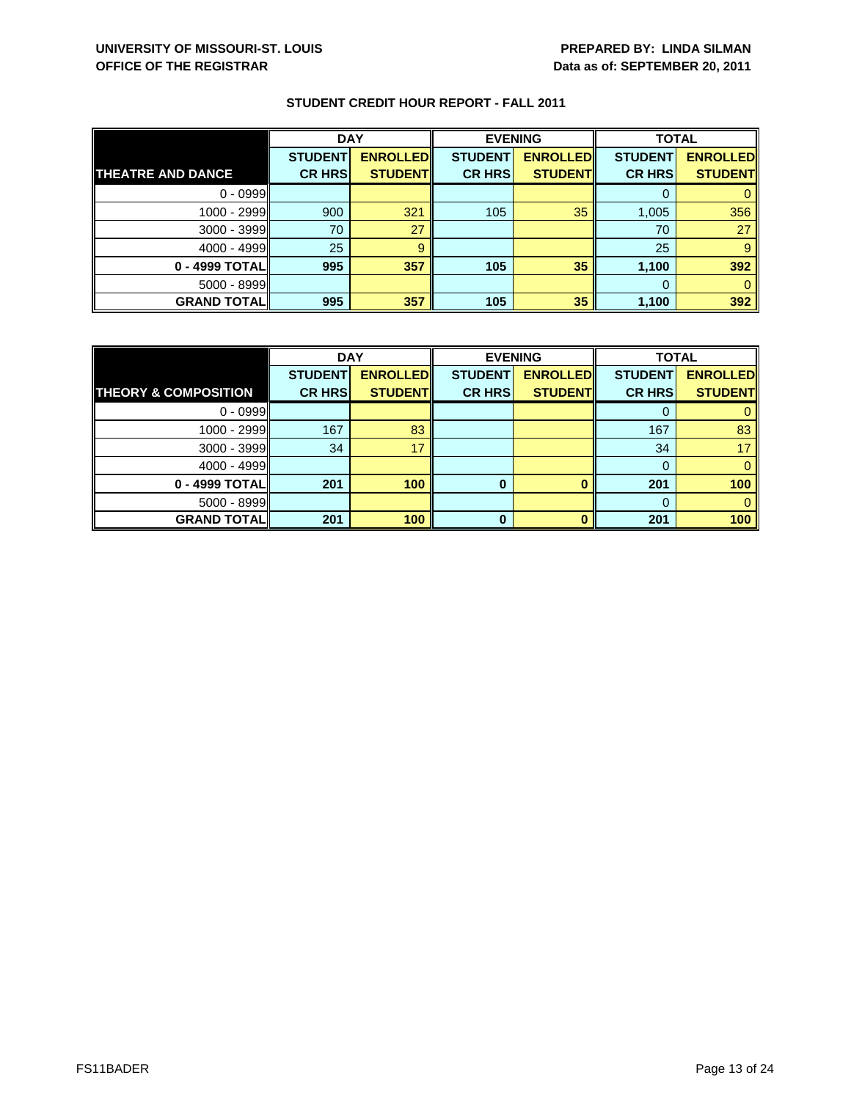|                          | <b>DAY</b>     |                 | <b>EVENING</b> |                 | <b>TOTAL</b>   |                 |
|--------------------------|----------------|-----------------|----------------|-----------------|----------------|-----------------|
|                          | <b>STUDENT</b> | <b>ENROLLED</b> | <b>STUDENT</b> | <b>ENROLLED</b> | <b>STUDENT</b> | <b>ENROLLED</b> |
| <b>THEATRE AND DANCE</b> | <b>CR HRS</b>  | <b>STUDENT</b>  | <b>CR HRS</b>  | <b>STUDENT</b>  | <b>CR HRS</b>  | <b>STUDENT</b>  |
| $0 - 0999$               |                |                 |                |                 |                |                 |
| $1000 - 2999$            | 900            | 321             | 105            | 35              | 1,005          | 356             |
| $3000 - 3999$            | 70             | 27              |                |                 | 70             | 27              |
| $4000 - 4999$            | 25             |                 |                |                 | 25             |                 |
| 0 - 4999 TOTALI          | 995            | 357             | 105            | 35              | 1,100          | 392             |
| $5000 - 8999$            |                |                 |                |                 |                |                 |
| <b>GRAND TOTAL</b>       | 995            | 357             | 105            | 35              | 1,100          | 392             |

|                                 | <b>DAY</b>     |                 | <b>EVENING</b> |                 | <b>TOTAL</b>   |                 |
|---------------------------------|----------------|-----------------|----------------|-----------------|----------------|-----------------|
|                                 | <b>STUDENT</b> | <b>ENROLLED</b> | <b>STUDENT</b> | <b>ENROLLED</b> | <b>STUDENT</b> | <b>ENROLLED</b> |
| <b>THEORY &amp; COMPOSITION</b> | <b>CR HRS</b>  | <b>STUDENT</b>  | <b>CR HRS</b>  | <b>STUDENT</b>  | <b>CR HRS</b>  | <b>STUDENT</b>  |
| $0 - 0999$                      |                |                 |                |                 |                |                 |
| $1000 - 2999$                   | 167            | 83              |                |                 | 167            | 83              |
| $3000 - 3999$                   | 34             | 17              |                |                 | 34             | 17              |
| $4000 - 4999$                   |                |                 |                |                 |                |                 |
| 0 - 4999 TOTAL                  | 201            | 100             | 0              |                 | 201            | 100             |
| $5000 - 8999$                   |                |                 |                |                 |                |                 |
| <b>GRAND TOTALI</b>             | 201            | 100             | ŋ              |                 | 201            | 100             |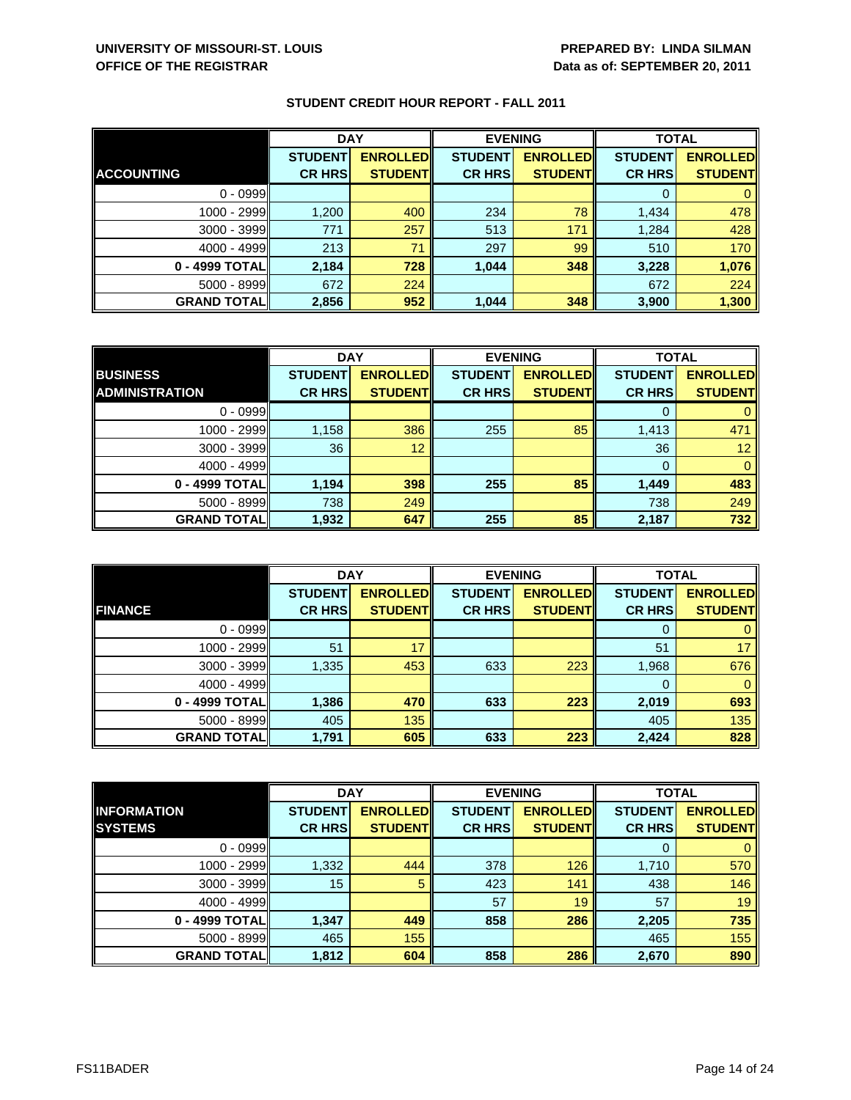|                    | <b>DAY</b>     |                 |                | <b>EVENING</b>  |                | <b>TOTAL</b>    |  |
|--------------------|----------------|-----------------|----------------|-----------------|----------------|-----------------|--|
|                    | <b>STUDENT</b> | <b>ENROLLED</b> | <b>STUDENT</b> | <b>ENROLLED</b> | <b>STUDENT</b> | <b>ENROLLED</b> |  |
| <b>ACCOUNTING</b>  | <b>CR HRS</b>  | <b>STUDENTI</b> | <b>CR HRS</b>  | <b>STUDENT</b>  | <b>CR HRS</b>  | <b>STUDENT</b>  |  |
| $0 - 0999$         |                |                 |                |                 |                |                 |  |
| 1000 - 2999        | 1,200          | 400             | 234            | 78              | 1,434          | 478             |  |
| $3000 - 3999$      | 771            | 257             | 513            | 171             | 1,284          | 428             |  |
| $4000 - 4999$      | 213            | 71              | 297            | 99              | 510            | 170             |  |
| 0 - 4999 TOTAL     | 2,184          | 728             | 1,044          | 348             | 3,228          | 1,076           |  |
| $5000 - 8999$      | 672            | 224             |                |                 | 672            | 224             |  |
| <b>GRAND TOTAL</b> | 2,856          | 952             | 1,044          | 348             | 3,900          | 1,300           |  |

|                       | <b>DAY</b>     |                 | <b>EVENING</b> |                 | <b>TOTAL</b>   |                 |
|-----------------------|----------------|-----------------|----------------|-----------------|----------------|-----------------|
| <b>BUSINESS</b>       | <b>STUDENT</b> | <b>ENROLLED</b> | <b>STUDENT</b> | <b>ENROLLED</b> | <b>STUDENT</b> | <b>ENROLLED</b> |
| <b>ADMINISTRATION</b> | <b>CR HRS</b>  | <b>STUDENT</b>  | <b>CR HRS</b>  | <b>STUDENT</b>  | <b>CR HRS</b>  | <b>STUDENT</b>  |
| $0 - 0999$            |                |                 |                |                 |                |                 |
| 1000 - 2999           | 1,158          | 386             | 255            | 85              | 1,413          | 471             |
| 3000 - 3999           | 36             | 12              |                |                 | 36             | 12              |
| $4000 - 4999$         |                |                 |                |                 | $\Omega$       | 0               |
| 0 - 4999 TOTAL        | 1,194          | 398             | 255            | 85              | 1,449          | 483             |
| 5000 - 8999           | 738            | 249             |                |                 | 738            | 249             |
| <b>GRAND TOTAL</b>    | 1,932          | 647             | 255            | 85              | 2,187          | 732             |

|                     | <b>DAY</b>     |                 | <b>EVENING</b> |                 | <b>TOTAL</b>   |                 |
|---------------------|----------------|-----------------|----------------|-----------------|----------------|-----------------|
|                     | <b>STUDENT</b> | <b>ENROLLED</b> | <b>STUDENT</b> | <b>ENROLLED</b> | <b>STUDENT</b> | <b>ENROLLED</b> |
| <b>FINANCE</b>      | <b>CR HRS</b>  | <b>STUDENT</b>  | <b>CR HRS</b>  | <b>STUDENT</b>  | <b>CR HRS</b>  | <b>STUDENT</b>  |
| $0 - 0999$          |                |                 |                |                 | O              |                 |
| 1000 - 2999         | 51             | 17              |                |                 | 51             | 17              |
| $3000 - 3999$       | 1,335          | 453             | 633            | 223             | 1,968          | 676             |
| $4000 - 4999$       |                |                 |                |                 | 0              | 0               |
| 0 - 4999 TOTAL      | 1,386          | 470             | 633            | 223             | 2,019          | 693             |
| $5000 - 8999$       | 405            | 135             |                |                 | 405            | 135             |
| <b>GRAND TOTALI</b> | 1,791          | 605             | 633            | 223             | 2,424          | 828             |

|                    | <b>DAY</b>     |                  | <b>EVENING</b> |                 | <b>TOTAL</b>   |                 |
|--------------------|----------------|------------------|----------------|-----------------|----------------|-----------------|
| <b>INFORMATION</b> | <b>STUDENT</b> | <b>ENROLLEDI</b> | <b>STUDENT</b> | <b>ENROLLED</b> | <b>STUDENT</b> | <b>ENROLLED</b> |
| <b>SYSTEMS</b>     | <b>CR HRS</b>  | <b>STUDENT</b>   | <b>CR HRS</b>  | <b>STUDENT</b>  | <b>CR HRS</b>  | <b>STUDENT</b>  |
| $0 - 0999$         |                |                  |                |                 | O              | $\mathbf{0}$    |
| 1000 - 2999        | 1,332          | 444              | 378            | 126             | 1,710          | 570             |
| $3000 - 3999$      | 15             | 5                | 423            | 141             | 438            | 146             |
| $4000 - 4999$      |                |                  | 57             | 19              | 57             | 19              |
| 0 - 4999 TOTAL     | 1,347          | 449              | 858            | 286             | 2,205          | 735             |
| $5000 - 8999$      | 465            | 155              |                |                 | 465            | 155             |
| <b>GRAND TOTAL</b> | 1,812          | 604              | 858            | 286             | 2,670          | 890             |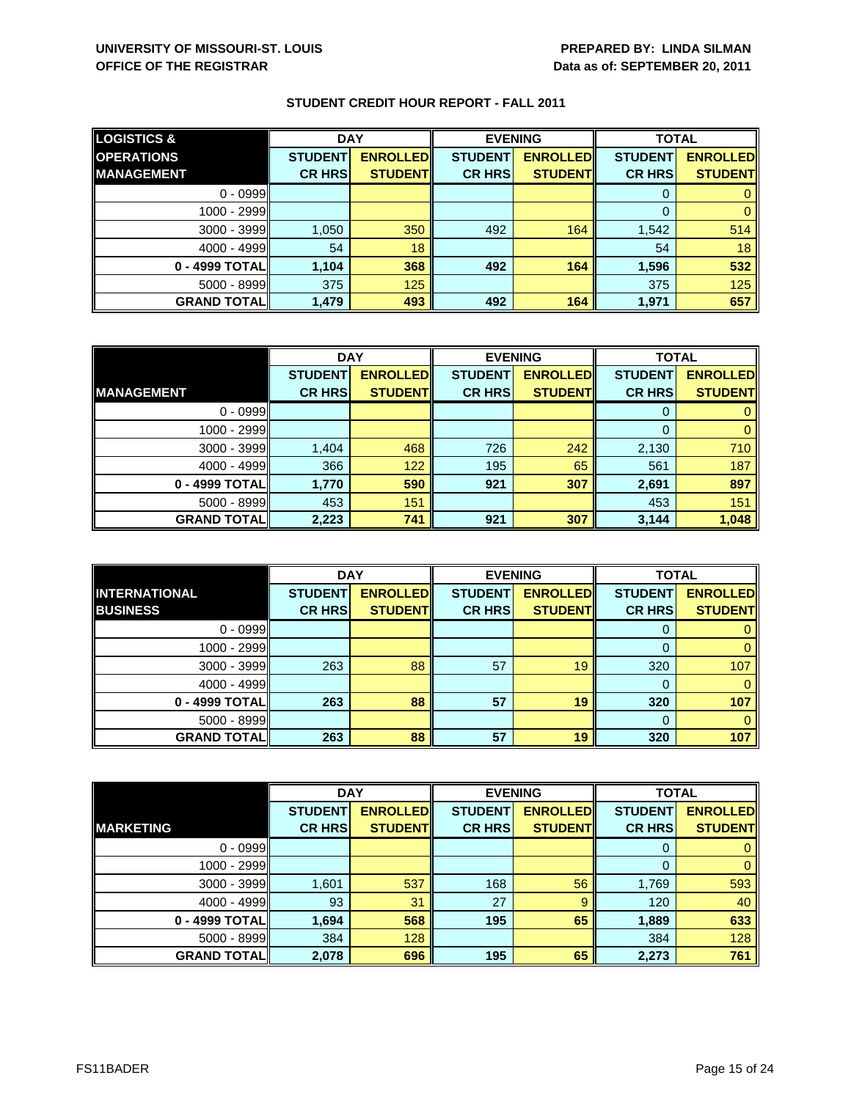| <b>LOGISTICS &amp;</b> | <b>DAY</b>     |                 | <b>EVENING</b> |                 | <b>TOTAL</b>   |                 |
|------------------------|----------------|-----------------|----------------|-----------------|----------------|-----------------|
| <b>OPERATIONS</b>      | <b>STUDENT</b> | <b>ENROLLED</b> | <b>STUDENT</b> | <b>ENROLLED</b> | <b>STUDENT</b> | <b>ENROLLED</b> |
| <b>IMANAGEMENT</b>     | <b>CR HRS</b>  | <b>STUDENTI</b> | <b>CR HRS</b>  | <b>STUDENT</b>  | <b>CR HRS</b>  | <b>STUDENT</b>  |
| $0 - 0999$             |                |                 |                |                 |                |                 |
| 1000 - 2999            |                |                 |                |                 |                |                 |
| $3000 - 3999$          | 1,050          | 350             | 492            | 164             | 1,542          | 514             |
| $4000 - 4999$          | 54             | 18              |                |                 | 54             | 18              |
| 0 - 4999 TOTAL         | 1,104          | 368             | 492            | 164             | 1,596          | 532             |
| $5000 - 8999$          | 375            | 125             |                |                 | 375            | 125             |
| <b>GRAND TOTAL</b>     | 1,479          | 493             | 492            | 164             | 1,971          | 657             |

|                    | <b>DAY</b>     |                 |                | <b>EVENING</b>  | <b>TOTAL</b>   |                 |
|--------------------|----------------|-----------------|----------------|-----------------|----------------|-----------------|
|                    | <b>STUDENT</b> | <b>ENROLLED</b> | <b>STUDENT</b> | <b>ENROLLED</b> | <b>STUDENT</b> | <b>ENROLLED</b> |
| <b>MANAGEMENT</b>  | <b>CR HRS</b>  | <b>STUDENT</b>  | <b>CR HRS</b>  | <b>STUDENT</b>  | <b>CR HRS</b>  | <b>STUDENT</b>  |
| $0 - 0999$         |                |                 |                |                 |                |                 |
| 1000 - 2999        |                |                 |                |                 | 0              |                 |
| $3000 - 3999$      | 1,404          | 468             | 726            | 242             | 2,130          | 710             |
| $4000 - 4999$      | 366            | 122             | 195            | 65              | 561            | 187             |
| 0 - 4999 TOTAL     | 1,770          | 590             | 921            | 307             | 2,691          | 897             |
| $5000 - 8999$      | 453            | 151             |                |                 | 453            | 151             |
| <b>GRAND TOTAL</b> | 2,223          | 741             | 921            | 307             | 3,144          | 1,048           |

|                                         | <b>DAY</b>                      |                                   | <b>EVENING</b>                  |                                   | <b>TOTAL</b>                    |                                   |
|-----------------------------------------|---------------------------------|-----------------------------------|---------------------------------|-----------------------------------|---------------------------------|-----------------------------------|
| <b>INTERNATIONAL</b><br><b>BUSINESS</b> | <b>STUDENT</b><br><b>CR HRS</b> | <b>ENROLLED</b><br><b>STUDENT</b> | <b>STUDENT</b><br><b>CR HRS</b> | <b>ENROLLED</b><br><b>STUDENT</b> | <b>STUDENT</b><br><b>CR HRS</b> | <b>ENROLLED</b><br><b>STUDENT</b> |
|                                         |                                 |                                   |                                 |                                   |                                 |                                   |
| $0 - 0999$                              |                                 |                                   |                                 |                                   | O                               |                                   |
| $1000 - 2999$                           |                                 |                                   |                                 |                                   |                                 |                                   |
| $3000 - 3999$                           | 263                             | 88                                | 57                              | 19                                | 320                             | 107                               |
| $4000 - 4999$                           |                                 |                                   |                                 |                                   | 0                               |                                   |
| 0 - 4999 TOTAL                          | 263                             | 88                                | 57                              | 19                                | 320                             | 107                               |
| $5000 - 8999$                           |                                 |                                   |                                 |                                   | $\Omega$                        |                                   |
| <b>GRAND TOTALI</b>                     | 263                             | 88                                | 57                              | 19                                | 320                             | 107                               |

|                     | <b>DAY</b>     |                 | <b>EVENING</b> |                 | <b>TOTAL</b>   |                 |
|---------------------|----------------|-----------------|----------------|-----------------|----------------|-----------------|
|                     | <b>STUDENT</b> | <b>ENROLLED</b> | <b>STUDENT</b> | <b>ENROLLED</b> | <b>STUDENT</b> | <b>ENROLLED</b> |
| <b>MARKETING</b>    | <b>CR HRS</b>  | <b>STUDENT</b>  | <b>CR HRS</b>  | <b>STUDENT</b>  | <b>CR HRS</b>  | <b>STUDENT</b>  |
| $0 - 0999$          |                |                 |                |                 | 0              | $\mathbf{0}$    |
| 1000 - 2999         |                |                 |                |                 | 0              | $\mathbf{0}$    |
| $3000 - 3999$       | 1,601          | 537             | 168            | 56              | 1,769          | 593             |
| $4000 - 4999$       | 93             | 31              | 27             | 9               | 120            | 40              |
| 0 - 4999 TOTAL      | 1,694          | 568             | 195            | 65              | 1,889          | 633             |
| $5000 - 8999$       | 384            | 128             |                |                 | 384            | 128             |
| <b>GRAND TOTALI</b> | 2,078          | 696             | 195            | 65              | 2,273          | 761             |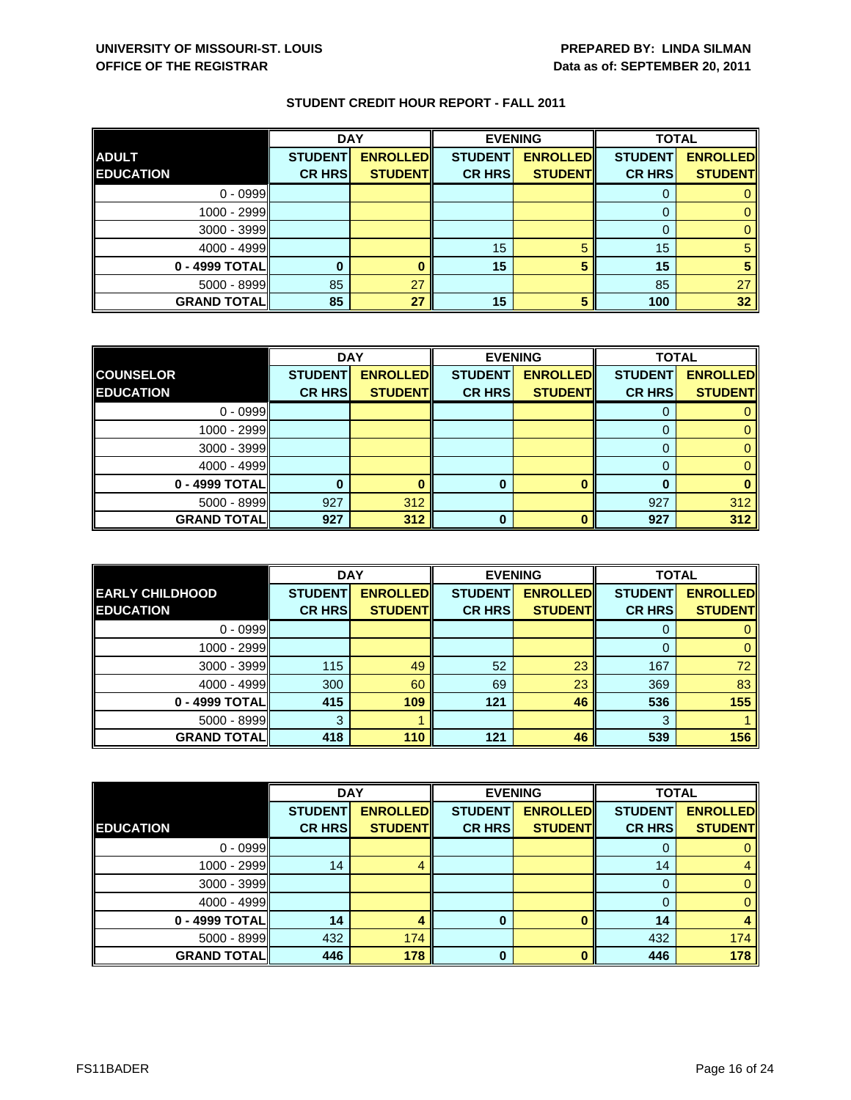|                    | <b>DAY</b>     |                 |                | <b>EVENING</b>  | <b>TOTAL</b>   |                 |
|--------------------|----------------|-----------------|----------------|-----------------|----------------|-----------------|
| <b>ADULT</b>       | <b>STUDENT</b> | <b>ENROLLED</b> | <b>STUDENT</b> | <b>ENROLLED</b> | <b>STUDENT</b> | <b>ENROLLED</b> |
| <b>EDUCATION</b>   | <b>CR HRS</b>  | <b>STUDENT</b>  | <b>CR HRS</b>  | <b>STUDENT</b>  | <b>CR HRS</b>  | <b>STUDENT</b>  |
| $0 - 0999$         |                |                 |                |                 |                |                 |
| 1000 - 2999        |                |                 |                |                 |                |                 |
| 3000 - 3999        |                |                 |                |                 |                |                 |
| $4000 - 4999$      |                |                 | 15             | 5               | 15             |                 |
| 0 - 4999 TOTAL     |                |                 | 15             |                 | 15             |                 |
| $5000 - 8999$      | 85             | 27              |                |                 | 85             | 27              |
| <b>GRAND TOTAL</b> | 85             | 27              | 15             |                 | 100            | 32 <sub>2</sub> |

|                    | <b>DAY</b><br><b>EVENING</b> |                 |                | <b>TOTAL</b>    |                |                 |
|--------------------|------------------------------|-----------------|----------------|-----------------|----------------|-----------------|
| <b>COUNSELOR</b>   | <b>STUDENT</b>               | <b>ENROLLED</b> | <b>STUDENT</b> | <b>ENROLLED</b> | <b>STUDENT</b> | <b>ENROLLED</b> |
| <b>EDUCATION</b>   | <b>CR HRS</b>                | <b>STUDENT</b>  | <b>CR HRS</b>  | <b>STUDENT</b>  | <b>CR HRS</b>  | <b>STUDENT</b>  |
| $0 - 0999$         |                              |                 |                |                 |                |                 |
| 1000 - 2999        |                              |                 |                |                 |                |                 |
| 3000 - 3999        |                              |                 |                |                 |                |                 |
| $4000 - 4999$      |                              |                 |                |                 |                |                 |
| 0 - 4999 TOTAL     |                              |                 | 0              |                 |                |                 |
| 5000 - 8999        | 927                          | 312             |                |                 | 927            | 312             |
| <b>GRAND TOTAL</b> | 927                          | 312             | U              |                 | 927            | 312             |

|                        | <b>DAY</b>     |                 |                | <b>EVENING</b>  | <b>TOTAL</b>   |                 |
|------------------------|----------------|-----------------|----------------|-----------------|----------------|-----------------|
| <b>EARLY CHILDHOOD</b> | <b>STUDENT</b> | <b>ENROLLED</b> | <b>STUDENT</b> | <b>ENROLLED</b> | <b>STUDENT</b> | <b>ENROLLED</b> |
| <b>EDUCATION</b>       | <b>CR HRS</b>  | <b>STUDENT</b>  | <b>CR HRS</b>  | <b>STUDENT</b>  | <b>CR HRS</b>  | <b>STUDENT</b>  |
| $0 - 0999$             |                |                 |                |                 |                |                 |
| 1000 - 2999            |                |                 |                |                 |                | 0               |
| $3000 - 3999$          | 115            | 49              | 52             | 23              | 167            | 72              |
| $4000 - 4999$          | 300            | 60              | 69             | 23              | 369            | 83              |
| 0 - 4999 TOTAL         | 415            | 109             | 121            | 46              | 536            | 155             |
| $5000 - 8999$          | 3              |                 |                |                 | 3              |                 |
| <b>GRAND TOTALI</b>    | 418            | 110             | 121            | 46              | 539            | 156             |

|                    | <b>DAY</b>     |                 |                | <b>EVENING</b>  | <b>TOTAL</b>   |                 |
|--------------------|----------------|-----------------|----------------|-----------------|----------------|-----------------|
|                    | <b>STUDENT</b> | <b>ENROLLED</b> | <b>STUDENT</b> | <b>ENROLLED</b> | <b>STUDENT</b> | <b>ENROLLED</b> |
| <b>EDUCATION</b>   | <b>CR HRS</b>  | <b>STUDENT</b>  | <b>CR HRS</b>  | <b>STUDENT</b>  | <b>CR HRS</b>  | <b>STUDENT</b>  |
| $0 - 0999$         |                |                 |                |                 |                | 0               |
| 1000 - 2999        | 14             | 4               |                |                 | 14             | 4               |
| 3000 - 3999        |                |                 |                |                 | 0              | $\mathbf{0}$    |
| $4000 - 4999$      |                |                 |                |                 | 0              | $\mathbf{0}$    |
| 0 - 4999 TOTAL     | 14             |                 | 0              | $\Omega$        | 14             | 4               |
| 5000 - 8999        | 432            | 174             |                |                 | 432            | 174             |
| <b>GRAND TOTAL</b> | 446            | 178             | $\bf{0}$       | $\Omega$        | 446            | 178             |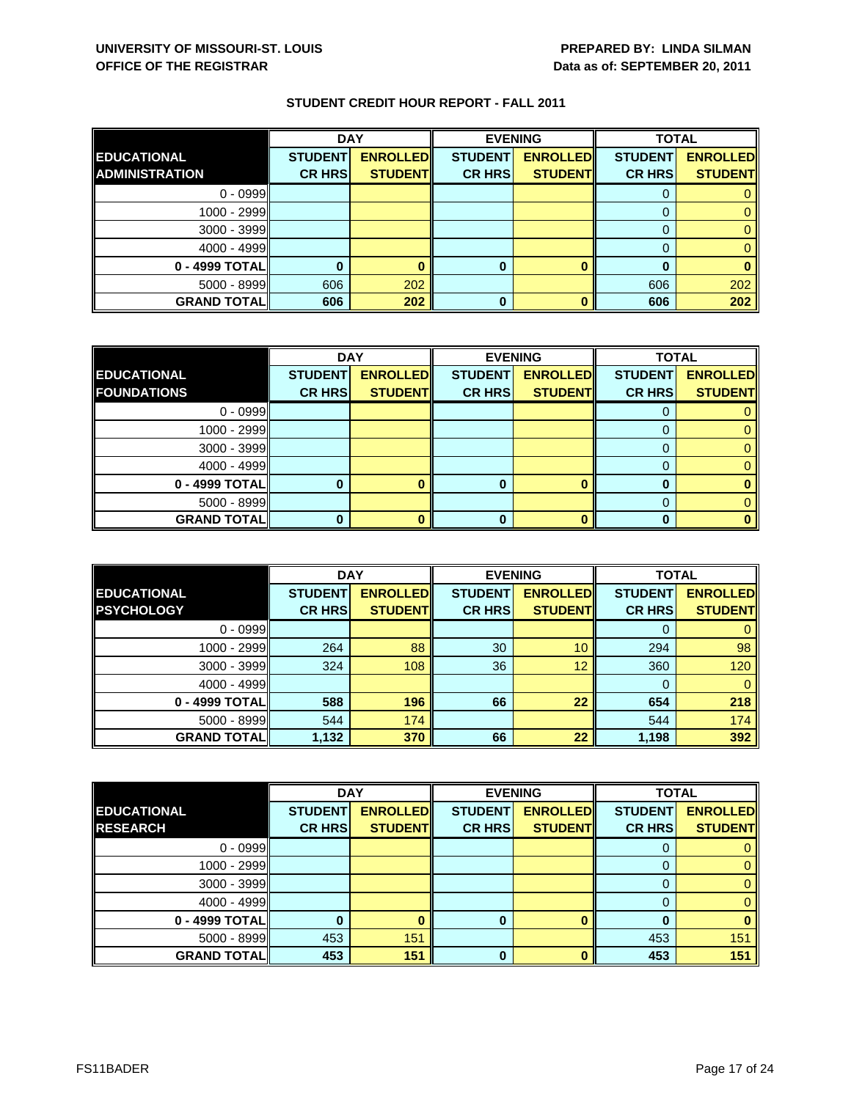|                       | <b>DAY</b>     |                 |                | <b>EVENING</b>  | <b>TOTAL</b>   |                 |
|-----------------------|----------------|-----------------|----------------|-----------------|----------------|-----------------|
| <b>EDUCATIONAL</b>    | <b>STUDENT</b> | <b>ENROLLED</b> | <b>STUDENT</b> | <b>ENROLLED</b> | <b>STUDENT</b> | <b>ENROLLED</b> |
| <b>ADMINISTRATION</b> | <b>CR HRS</b>  | <b>STUDENT</b>  | <b>CR HRS</b>  | <b>STUDENT</b>  | <b>CR HRS</b>  | <b>STUDENT</b>  |
| $0 - 0999$            |                |                 |                |                 |                |                 |
| $1000 - 2999$         |                |                 |                |                 |                |                 |
| $3000 - 3999$         |                |                 |                |                 |                |                 |
| $4000 - 4999$         |                |                 |                |                 |                |                 |
| 0 - 4999 TOTAL        |                |                 | 0              |                 |                |                 |
| $5000 - 8999$         | 606            | 202             |                |                 | 606            | 202             |
| <b>GRAND TOTAL</b>    | 606            | 202             | 0              |                 | 606            | 202             |

|                    | <b>DAY</b>     |                 |                | <b>EVENING</b>  | <b>TOTAL</b>   |                 |
|--------------------|----------------|-----------------|----------------|-----------------|----------------|-----------------|
| <b>EDUCATIONAL</b> | <b>STUDENT</b> | <b>ENROLLED</b> | <b>STUDENT</b> | <b>ENROLLED</b> | <b>STUDENT</b> | <b>ENROLLED</b> |
| <b>FOUNDATIONS</b> | <b>CR HRS</b>  | <b>STUDENT</b>  | <b>CR HRS</b>  | <b>STUDENT</b>  | <b>CR HRS</b>  | <b>STUDENT</b>  |
| $0 - 0999$         |                |                 |                |                 |                |                 |
| $1000 - 2999$      |                |                 |                |                 |                |                 |
| $3000 - 3999$      |                |                 |                |                 |                |                 |
| $4000 - 4999$      |                |                 |                |                 |                |                 |
| $0 - 4999$ TOTAL   |                |                 | 0              |                 |                |                 |
| $5000 - 8999$      |                |                 |                |                 |                |                 |
| <b>GRAND TOTAL</b> |                |                 |                |                 |                |                 |

|                                         | <b>DAY</b>                      |                                   | <b>EVENING</b>                  |                                   | <b>TOTAL</b>                    |                                   |
|-----------------------------------------|---------------------------------|-----------------------------------|---------------------------------|-----------------------------------|---------------------------------|-----------------------------------|
| <b>EDUCATIONAL</b><br><b>PSYCHOLOGY</b> | <b>STUDENT</b><br><b>CR HRS</b> | <b>ENROLLED</b><br><b>STUDENT</b> | <b>STUDENT</b><br><b>CR HRS</b> | <b>ENROLLED</b><br><b>STUDENT</b> | <b>STUDENT</b><br><b>CR HRS</b> | <b>ENROLLED</b><br><b>STUDENT</b> |
|                                         |                                 |                                   |                                 |                                   |                                 |                                   |
| $0 - 0999$                              |                                 |                                   |                                 |                                   | O                               |                                   |
| $1000 - 2999$                           | 264                             | 88                                | 30                              | 10                                | 294                             | 98                                |
| $3000 - 3999$                           | 324                             | 108                               | 36                              | 12                                | 360                             | 120                               |
| $4000 - 4999$                           |                                 |                                   |                                 |                                   | 0                               | 0                                 |
| 0 - 4999 TOTALI                         | 588                             | 196                               | 66                              | 22                                | 654                             | 218                               |
| $5000 - 8999$                           | 544                             | 174                               |                                 |                                   | 544                             | 174                               |
| <b>GRAND TOTALI</b>                     | 1,132                           | 370                               | 66                              | 22                                | 1,198                           | 392                               |

|                    | <b>DAY</b>     |                 | <b>EVENING</b> |                 | <b>TOTAL</b>   |                 |
|--------------------|----------------|-----------------|----------------|-----------------|----------------|-----------------|
| <b>EDUCATIONAL</b> | <b>STUDENT</b> | <b>ENROLLED</b> | <b>STUDENT</b> | <b>ENROLLED</b> | <b>STUDENT</b> | <b>ENROLLED</b> |
| <b>RESEARCH</b>    | <b>CR HRS</b>  | <b>STUDENT</b>  | <b>CR HRS</b>  | <b>STUDENT</b>  | <b>CR HRS</b>  | <b>STUDENT</b>  |
| $0 - 0999$         |                |                 |                |                 | U              | 0               |
| 1000 - 2999        |                |                 |                |                 | 0              | $\mathbf{0}$    |
| $3000 - 3999$      |                |                 |                |                 | 0              | $\mathbf{0}$    |
| $4000 - 4999$      |                |                 |                |                 | 0              | $\mathbf{0}$    |
| 0 - 4999 TOTAL     |                |                 | 0              |                 | 0              | $\bf{0}$        |
| $5000 - 8999$      | 453            | 151             |                |                 | 453            | 151             |
| <b>GRAND TOTAL</b> | 453            | 151             | $\bf{0}$       | n               | 453            | 151             |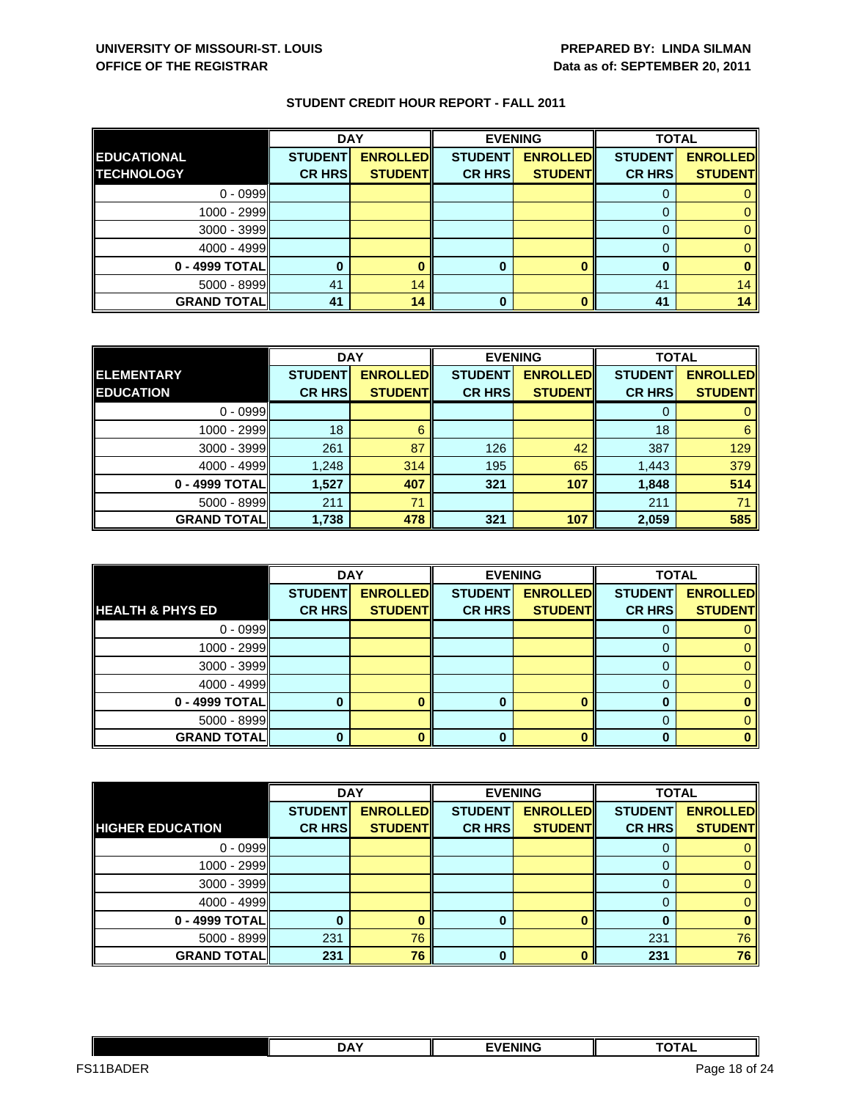|                    | <b>DAY</b>     |                 | <b>EVENING</b> |                 | <b>TOTAL</b>   |                 |
|--------------------|----------------|-----------------|----------------|-----------------|----------------|-----------------|
| <b>EDUCATIONAL</b> | <b>STUDENT</b> | <b>ENROLLED</b> | <b>STUDENT</b> | <b>ENROLLED</b> | <b>STUDENT</b> | <b>ENROLLED</b> |
| <b>TECHNOLOGY</b>  | <b>CR HRS</b>  | <b>STUDENT</b>  | <b>CR HRS</b>  | <b>STUDENT</b>  | <b>CR HRS</b>  | <b>STUDENT</b>  |
| $0 - 0999$         |                |                 |                |                 |                |                 |
| $1000 - 2999$      |                |                 |                |                 |                |                 |
| $3000 - 3999$      |                |                 |                |                 |                |                 |
| $4000 - 4999$      |                |                 |                |                 |                |                 |
| $0 - 4999$ TOTAL   |                |                 | 0              |                 |                |                 |
| $5000 - 8999$      | 41             | 14              |                |                 | 41             | 14              |
| <b>GRAND TOTAL</b> | 41             | 14              | 0              |                 | 41             | 14              |

|                    | <b>DAY</b>     |                 | <b>EVENING</b> |                 | <b>TOTAL</b>   |                 |
|--------------------|----------------|-----------------|----------------|-----------------|----------------|-----------------|
| <b>ELEMENTARY</b>  | <b>STUDENT</b> | <b>ENROLLED</b> | <b>STUDENT</b> | <b>ENROLLED</b> | <b>STUDENT</b> | <b>ENROLLED</b> |
| <b>EDUCATION</b>   | <b>CR HRS</b>  | <b>STUDENT</b>  | <b>CR HRS</b>  | <b>STUDENT</b>  | <b>CR HRS</b>  | <b>STUDENT</b>  |
| $0 - 0999$         |                |                 |                |                 |                |                 |
| 1000 - 2999        | 18             |                 |                |                 | 18             | 6               |
| $3000 - 3999$      | 261            | 87              | 126            | 42              | 387            | 129             |
| $4000 - 4999$      | 1,248          | 314             | 195            | 65              | 1,443          | 379             |
| 0 - 4999 TOTAL     | 1,527          | 407             | 321            | 107             | 1,848          | 514             |
| 5000 - 8999        | 211            | 71              |                |                 | 211            | 71              |
| <b>GRAND TOTAL</b> | 1,738          | 478             | 321            | 107             | 2,059          | 585             |

|                             | <b>DAY</b>     |                 |                | <b>EVENING</b>  | <b>TOTAL</b>   |                 |
|-----------------------------|----------------|-----------------|----------------|-----------------|----------------|-----------------|
|                             | <b>STUDENT</b> | <b>ENROLLED</b> | <b>STUDENT</b> | <b>ENROLLED</b> | <b>STUDENT</b> | <b>ENROLLED</b> |
| <b>HEALTH &amp; PHYS ED</b> | <b>CR HRS</b>  | <b>STUDENT</b>  | <b>CR HRS</b>  | <b>STUDENT</b>  | <b>CR HRS</b>  | <b>STUDENT</b>  |
| $0 - 0999$                  |                |                 |                |                 | O              |                 |
| 1000 - 2999                 |                |                 |                |                 |                |                 |
| $3000 - 3999$               |                |                 |                |                 |                |                 |
| $4000 - 4999$               |                |                 |                |                 |                |                 |
| 0 - 4999 TOTAL              |                |                 |                |                 |                |                 |
| $5000 - 8999$               |                |                 |                |                 |                |                 |
| <b>GRAND TOTAL</b>          |                |                 | 0              |                 |                |                 |

|                         | <b>DAY</b>     |                 |                | <b>EVENING</b>  | <b>TOTAL</b>   |                 |
|-------------------------|----------------|-----------------|----------------|-----------------|----------------|-----------------|
|                         | <b>STUDENT</b> | <b>ENROLLED</b> | <b>STUDENT</b> | <b>ENROLLED</b> | <b>STUDENT</b> | <b>ENROLLED</b> |
| <b>HIGHER EDUCATION</b> | <b>CR HRS</b>  | <b>STUDENT</b>  | <b>CR HRS</b>  | <b>STUDENT</b>  | <b>CR HRS</b>  | <b>STUDENT</b>  |
| $0 - 0999$              |                |                 |                |                 |                |                 |
| 1000 - 2999             |                |                 |                |                 | 0              | 0               |
| $3000 - 3999$           |                |                 |                |                 | 0              | 0               |
| $4000 - 4999$           |                |                 |                |                 |                | $\mathbf{0}$    |
| 0 - 4999 TOTAL          |                |                 | 0              |                 |                | 0               |
| $5000 - 8999$           | 231            | 76              |                |                 | 231            | 76              |
| <b>GRAND TOTAL</b>      | 231            | 76              | $\Omega$       |                 | 231            | 76              |

|                               | <b>DAY</b> | <b>EVENING</b> | - - - - -<br>ль          |         |
|-------------------------------|------------|----------------|--------------------------|---------|
| F <sub>1</sub><br>∖n⊏¤<br>ں ، |            |                | Page<br>- 18.<br>- - - - | of $24$ |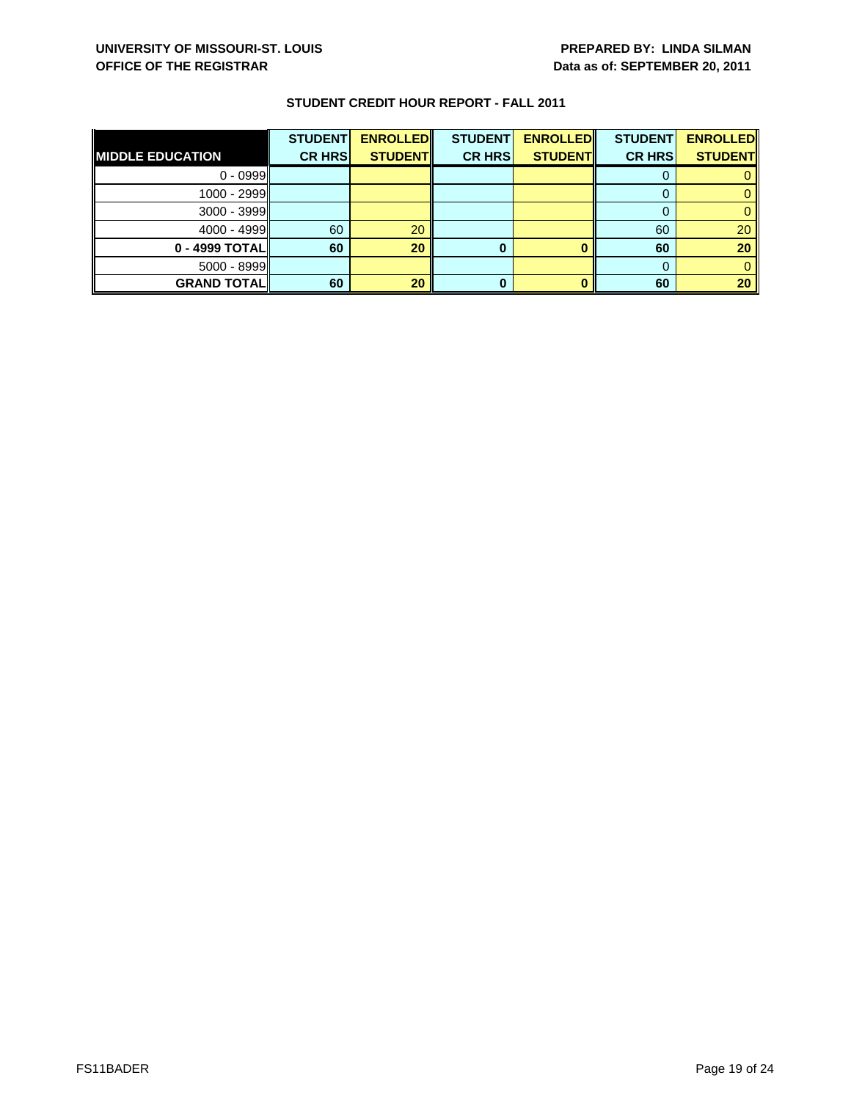| <b>MIDDLE EDUCATION</b> | <b>STUDENT</b><br><b>CR HRS</b> | <b>ENROLLED</b><br><b>STUDENT</b> | <b>STUDENT</b><br><b>CR HRS</b> | <b>ENROLLED</b><br><b>STUDENT</b> | <b>STUDENT</b><br><b>CR HRS</b> | <b>ENROLLED</b><br><b>STUDENT</b> |
|-------------------------|---------------------------------|-----------------------------------|---------------------------------|-----------------------------------|---------------------------------|-----------------------------------|
| $0 - 0999$              |                                 |                                   |                                 |                                   |                                 |                                   |
| $1000 - 2999$           |                                 |                                   |                                 |                                   |                                 |                                   |
| $3000 - 3999$           |                                 |                                   |                                 |                                   |                                 |                                   |
| $4000 - 4999$           | 60                              | 20                                |                                 |                                   | 60                              | 20                                |
| $0 - 4999$ TOTAL        | 60                              | 20                                | 0                               |                                   | 60                              | 20                                |
| $5000 - 8999$           |                                 |                                   |                                 |                                   |                                 |                                   |
| <b>GRAND TOTAL</b>      | 60                              | 20                                | 0                               |                                   | 60                              | 20                                |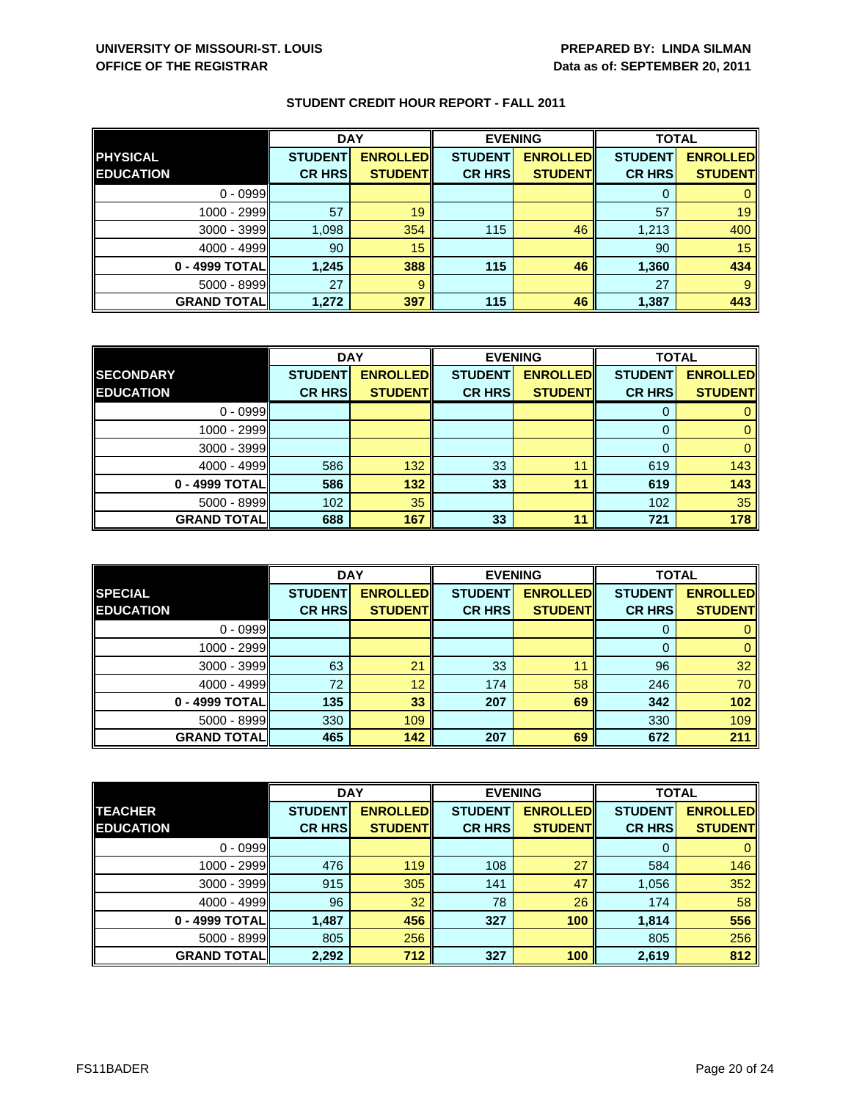|                    | <b>DAY</b>     |                 | <b>EVENING</b> |                 | <b>TOTAL</b>   |                 |
|--------------------|----------------|-----------------|----------------|-----------------|----------------|-----------------|
| <b>PHYSICAL</b>    | <b>STUDENT</b> | <b>ENROLLED</b> | <b>STUDENT</b> | <b>ENROLLED</b> | <b>STUDENT</b> | <b>ENROLLED</b> |
| <b>EDUCATION</b>   | <b>CR HRS</b>  | <b>STUDENT</b>  | <b>CR HRS</b>  | <b>STUDENT</b>  | <b>CR HRS</b>  | <b>STUDENT</b>  |
| $0 - 0999$         |                |                 |                |                 |                |                 |
| 1000 - 2999        | 57             | 19              |                |                 | 57             | 19              |
| 3000 - 3999        | 1,098          | 354             | 115            | 46              | 1,213          | 400             |
| $4000 - 4999$      | 90             | 15              |                |                 | 90             | 15              |
| 0 - 4999 TOTAL     | 1.245          | 388             | 115            | 46              | 1,360          | 434             |
| $5000 - 8999$      | 27             | 9               |                |                 | 27             |                 |
| <b>GRAND TOTAL</b> | 1,272          | 397             | 115            | 46              | 1,387          | 443             |

|                    | <b>DAY</b>     |                 | <b>EVENING</b> |                 | <b>TOTAL</b>   |                 |
|--------------------|----------------|-----------------|----------------|-----------------|----------------|-----------------|
| <b>SECONDARY</b>   | <b>STUDENT</b> | <b>ENROLLED</b> | <b>STUDENT</b> | <b>ENROLLED</b> | <b>STUDENT</b> | <b>ENROLLED</b> |
| <b>EDUCATION</b>   | <b>CR HRS</b>  | <b>STUDENT</b>  | <b>CR HRS</b>  | <b>STUDENT</b>  | <b>CR HRS</b>  | <b>STUDENT</b>  |
| $0 - 0999$         |                |                 |                |                 |                |                 |
| 1000 - 2999        |                |                 |                |                 |                |                 |
| $3000 - 3999$      |                |                 |                |                 |                |                 |
| $4000 - 4999$      | 586            | 132             | 33             | 11              | 619            | 143             |
| 0 - 4999 TOTAL     | 586            | 132             | 33             | 11              | 619            | 143             |
| $5000 - 8999$      | 102            | 35              |                |                 | 102            | 35              |
| <b>GRAND TOTAL</b> | 688            | 167             | 33             | 11              | 721            | 178             |

|                    | <b>DAY</b>     |                 |                | <b>EVENING</b>  | <b>TOTAL</b>   |                 |
|--------------------|----------------|-----------------|----------------|-----------------|----------------|-----------------|
| <b>SPECIAL</b>     | <b>STUDENT</b> | <b>ENROLLED</b> | <b>STUDENT</b> | <b>ENROLLED</b> | <b>STUDENT</b> | <b>ENROLLED</b> |
| <b>EDUCATION</b>   | <b>CR HRS</b>  | <b>STUDENT</b>  | <b>CR HRS</b>  | <b>STUDENT</b>  | <b>CR HRS</b>  | <b>STUDENT</b>  |
| $0 - 0999$         |                |                 |                |                 | υ              |                 |
| $1000 - 2999$      |                |                 |                |                 | $\Omega$       | 0               |
| $3000 - 3999$      | 63             | 21              | 33             | 11              | 96             | 32              |
| $4000 - 4999$      | 72             | 12              | 174            | 58              | 246            | 70              |
| 0 - 4999 TOTALI    | 135            | 33              | 207            | 69              | 342            | 102             |
| $5000 - 8999$      | 330            | 109             |                |                 | 330            | 109             |
| <b>GRAND TOTAL</b> | 465            | 142             | 207            | 69              | 672            | 211             |

|                    | <b>DAY</b>     |                 | <b>EVENING</b> |                 | <b>TOTAL</b>   |                 |
|--------------------|----------------|-----------------|----------------|-----------------|----------------|-----------------|
| <b>TEACHER</b>     | <b>STUDENT</b> | <b>ENROLLED</b> | <b>STUDENT</b> | <b>ENROLLED</b> | <b>STUDENT</b> | <b>ENROLLED</b> |
| <b>EDUCATION</b>   | <b>CR HRS</b>  | <b>STUDENTI</b> | <b>CR HRS</b>  | <b>STUDENT</b>  | <b>CR HRS</b>  | <b>STUDENT</b>  |
| $0 - 0999$         |                |                 |                |                 |                | $\mathbf{0}$    |
| 1000 - 2999        | 476            | 119             | 108            | 27              | 584            | 146             |
| $3000 - 3999$      | 915            | 305             | 141            | 47              | 1,056          | 352             |
| $4000 - 4999$      | 96             | 32              | 78             | 26              | 174            | 58              |
| 0 - 4999 TOTAL     | 1,487          | 456             | 327            | 100             | 1,814          | 556             |
| $5000 - 8999$      | 805            | 256             |                |                 | 805            | 256             |
| <b>GRAND TOTAL</b> | 2,292          | 712             | 327            | 100             | 2,619          | 812             |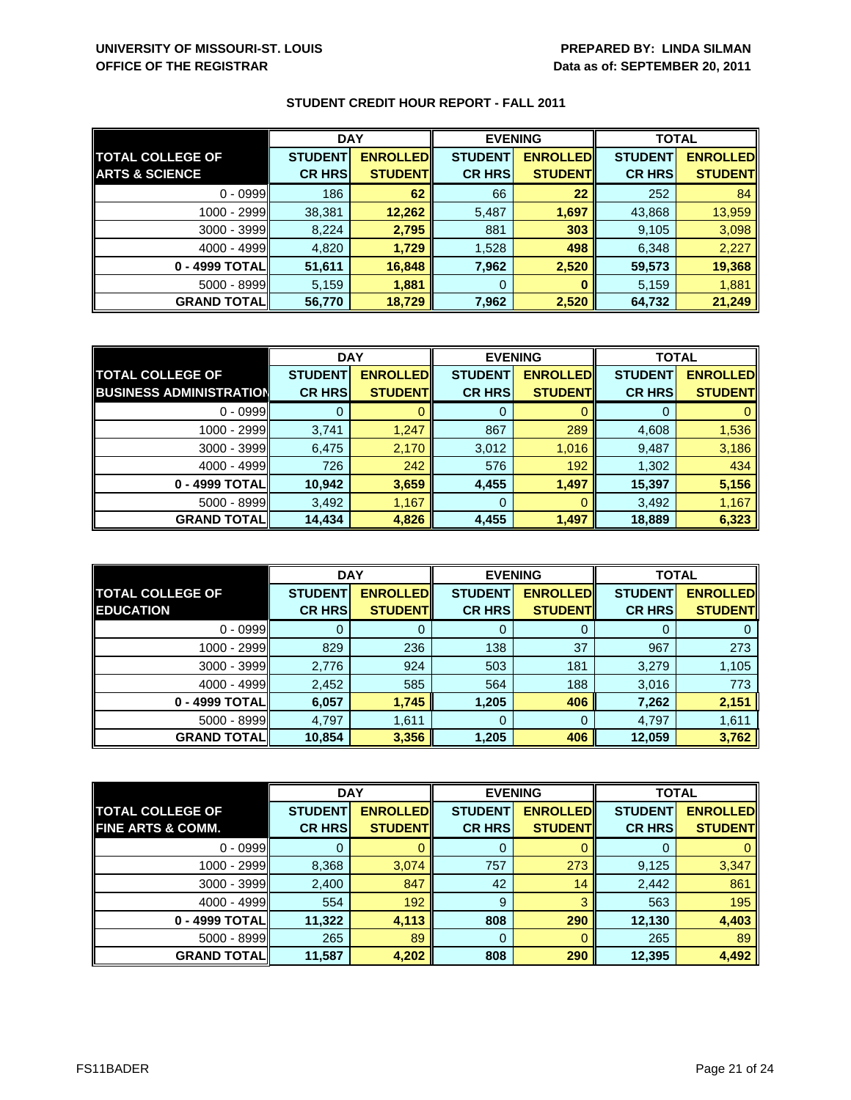|                           | <b>DAY</b>     |                 | <b>EVENING</b> |                 | <b>TOTAL</b>   |                 |
|---------------------------|----------------|-----------------|----------------|-----------------|----------------|-----------------|
| <b>TOTAL COLLEGE OF</b>   | <b>STUDENT</b> | <b>ENROLLED</b> | <b>STUDENT</b> | <b>ENROLLED</b> | <b>STUDENT</b> | <b>ENROLLED</b> |
| <b>ARTS &amp; SCIENCE</b> | <b>CR HRS</b>  | <b>STUDENT</b>  | <b>CR HRS</b>  | <b>STUDENT</b>  | <b>CR HRS</b>  | <b>STUDENT</b>  |
| $0 - 0999$                | 186            | 62              | 66             | 22              | 252            | 84              |
| 1000 - 2999               | 38,381         | 12,262          | 5,487          | 1,697           | 43,868         | 13,959          |
| $3000 - 3999$             | 8,224          | 2,795           | 881            | 303             | 9,105          | 3,098           |
| $4000 - 4999$             | 4,820          | 1,729           | 1,528          | 498             | 6,348          | 2,227           |
| 0 - 4999 TOTALI           | 51,611         | 16,848          | 7,962          | 2,520           | 59,573         | 19,368          |
| 5000 - 8999               | 5,159          | 1,881           | 0              |                 | 5,159          | 1,881           |
| <b>GRAND TOTALI</b>       | 56,770         | 18,729          | 7,962          | 2,520           | 64,732         | 21,249          |

|                                | <b>DAY</b>     |                 | <b>EVENING</b> |                 | <b>TOTAL</b>   |                 |
|--------------------------------|----------------|-----------------|----------------|-----------------|----------------|-----------------|
| <b>TOTAL COLLEGE OF</b>        | <b>STUDENT</b> | <b>ENROLLED</b> | <b>STUDENT</b> | <b>ENROLLED</b> | <b>STUDENT</b> | <b>ENROLLED</b> |
| <b>BUSINESS ADMINISTRATION</b> | <b>CR HRS</b>  | <b>STUDENT</b>  | <b>CR HRS</b>  | <b>STUDENTI</b> | <b>CR HRS</b>  | <b>STUDENT</b>  |
| $0 - 0999$                     |                |                 | 0              |                 |                |                 |
| 1000 - 2999                    | 3,741          | 1,247           | 867            | 289             | 4,608          | 1,536           |
| 3000 - 3999                    | 6,475          | 2,170           | 3,012          | 1,016           | 9,487          | 3,186           |
| $4000 - 4999$                  | 726            | 242             | 576            | 192             | 1,302          | 434             |
| 0 - 4999 TOTAL                 | 10,942         | 3,659           | 4,455          | 1,497           | 15,397         | 5,156           |
| $5000 - 8999$                  | 3,492          | 1,167           | 0              |                 | 3,492          | 1,167           |
| <b>GRAND TOTAL</b>             | 14,434         | 4,826           | 4,455          | 1,497           | 18,889         | 6,323           |

|                                             | <b>DAY</b>                      |                                    |                                 | <b>EVENING</b>                    | <b>TOTAL</b>                    |                                   |
|---------------------------------------------|---------------------------------|------------------------------------|---------------------------------|-----------------------------------|---------------------------------|-----------------------------------|
| <b>TOTAL COLLEGE OF</b><br><b>EDUCATION</b> | <b>STUDENT</b><br><b>CR HRS</b> | <b>ENROLLEDI</b><br><b>STUDENT</b> | <b>STUDENT</b><br><b>CR HRS</b> | <b>ENROLLED</b><br><b>STUDENT</b> | <b>STUDENT</b><br><b>CR HRS</b> | <b>ENROLLED</b><br><b>STUDENT</b> |
|                                             |                                 |                                    |                                 |                                   |                                 |                                   |
| $0 - 0999$                                  |                                 |                                    | O                               |                                   |                                 |                                   |
| 1000 - 2999                                 | 829                             | 236                                | 138                             | 37                                | 967                             | 273                               |
| $3000 - 3999$                               | 2,776                           | 924                                | 503                             | 181                               | 3,279                           | 1,105                             |
| $4000 - 4999$                               | 2,452                           | 585                                | 564                             | 188                               | 3,016                           | 773                               |
| 0 - 4999 TOTALI                             | 6,057                           | 1,745                              | 1,205                           | 406                               | 7,262                           | 2,151                             |
| $5000 - 8999$                               | 4.797                           | 1,611                              | 0                               |                                   | 4,797                           | 1,611                             |
| <b>GRAND TOTAL</b>                          | 10,854                          | 3,356                              | 1,205                           | 406                               | 12,059                          | 3,762                             |

|                              | <b>DAY</b>     |                 | <b>EVENING</b> |                 | <b>TOTAL</b>   |                 |
|------------------------------|----------------|-----------------|----------------|-----------------|----------------|-----------------|
| <b>TOTAL COLLEGE OF</b>      | <b>STUDENT</b> | <b>ENROLLED</b> | <b>STUDENT</b> | <b>ENROLLED</b> | <b>STUDENT</b> | <b>ENROLLED</b> |
| <b>FINE ARTS &amp; COMM.</b> | <b>CR HRS</b>  | <b>STUDENT</b>  | <b>CR HRS</b>  | <b>STUDENTI</b> | <b>CR HRS</b>  | <b>STUDENT</b>  |
| $0 - 0999$                   |                |                 | 0              |                 |                |                 |
| 1000 - 2999                  | 8,368          | 3,074           | 757            | 273             | 9,125          | 3,347           |
| 3000 - 3999                  | 2,400          | 847             | 42             | 14              | 2,442          | 861             |
| 4000 - 4999                  | 554            | 192             | 9              | 3               | 563            | 195             |
| 0 - 4999 TOTAL               | 11,322         | 4,113           | 808            | 290             | 12,130         | 4,403           |
| 5000 - 8999                  | 265            | 89              | 0              |                 | 265            | 89              |
| <b>GRAND TOTAL</b>           | 11,587         | 4,202           | 808            | 290             | 12,395         | 4,492           |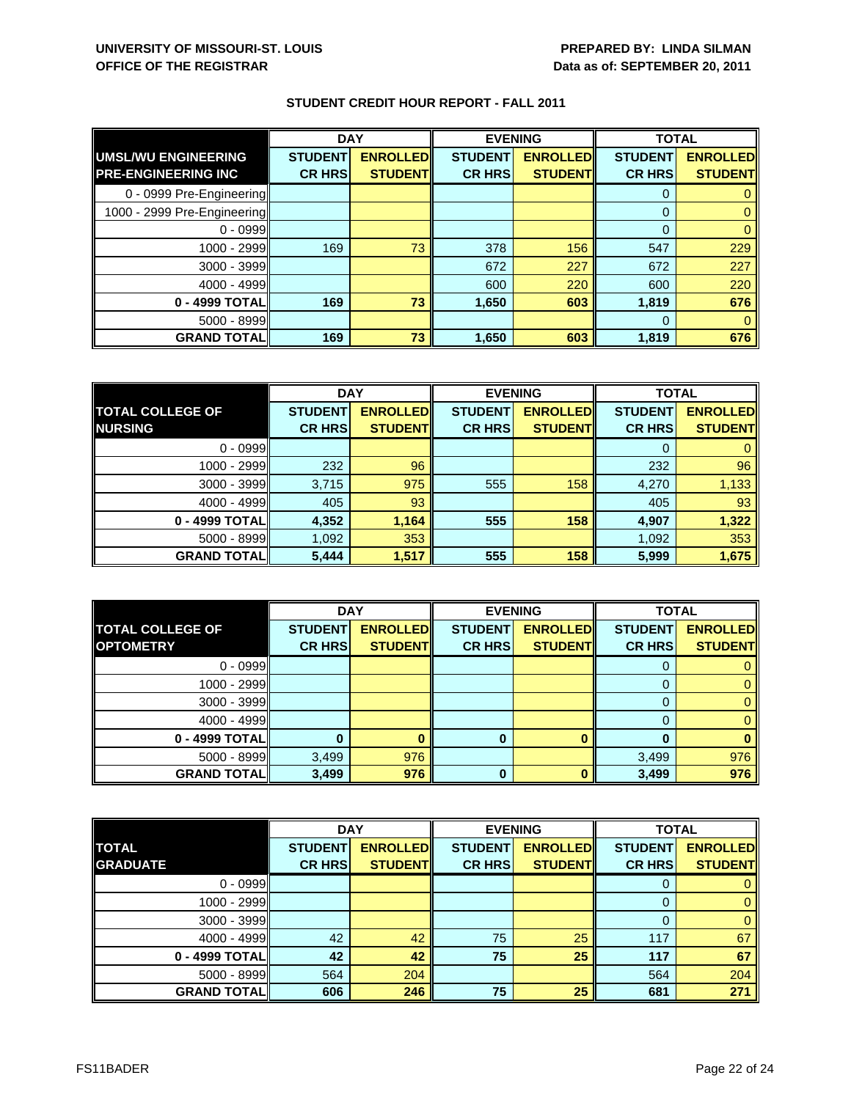|                             | <b>DAY</b>     |                 | <b>EVENING</b> |                 | <b>TOTAL</b>   |                 |
|-----------------------------|----------------|-----------------|----------------|-----------------|----------------|-----------------|
| UMSL/WU ENGINEERING         | <b>STUDENT</b> | <b>ENROLLED</b> | <b>STUDENT</b> | <b>ENROLLED</b> | <b>STUDENT</b> | <b>ENROLLED</b> |
| <b>PRE-ENGINEERING INC</b>  | <b>CR HRS</b>  | <b>STUDENT</b>  | <b>CR HRS</b>  | <b>STUDENT</b>  | <b>CR HRS</b>  | <b>STUDENT</b>  |
| 0 - 0999 Pre-Engineering    |                |                 |                |                 | 0              |                 |
| 1000 - 2999 Pre-Engineering |                |                 |                |                 | $\Omega$       |                 |
| $0 - 0999$                  |                |                 |                |                 | $\Omega$       |                 |
| 1000 - 2999                 | 169            | 73              | 378            | 156             | 547            | 229             |
| $3000 - 3999$               |                |                 | 672            | 227             | 672            | 227             |
| 4000 - 4999                 |                |                 | 600            | 220             | 600            | 220             |
| 0 - 4999 TOTAL              | 169            | 73              | 1,650          | 603             | 1,819          | 676             |
| $5000 - 8999$               |                |                 |                |                 | $\Omega$       |                 |
| <b>GRAND TOTAL</b>          | 169            | 73              | 1,650          | 603             | 1,819          | 676             |

|                         | <b>DAY</b>     |                 | <b>EVENING</b> |                 | <b>TOTAL</b>   |                 |
|-------------------------|----------------|-----------------|----------------|-----------------|----------------|-----------------|
| <b>TOTAL COLLEGE OF</b> | <b>STUDENT</b> | <b>ENROLLED</b> | <b>STUDENT</b> | <b>ENROLLED</b> | <b>STUDENT</b> | <b>ENROLLED</b> |
| <b>NURSING</b>          | <b>CR HRS</b>  | <b>STUDENT</b>  | <b>CR HRS</b>  | <b>STUDENT</b>  | <b>CR HRS</b>  | <b>STUDENT</b>  |
| $0 - 0999$              |                |                 |                |                 | 0              |                 |
| 1000 - 2999             | 232            | 96              |                |                 | 232            | 96              |
| $3000 - 3999$           | 3,715          | 975             | 555            | 158             | 4,270          | 1,133           |
| 4000 - 4999             | 405            | 93              |                |                 | 405            | 93              |
| 0 - 4999 TOTAL          | 4,352          | 1,164           | 555            | 158             | 4,907          | 1,322           |
| $5000 - 8999$           | 1,092          | 353             |                |                 | 1,092          | 353             |
| <b>GRAND TOTALI</b>     | 5,444          | 1,517           | 555            | 158             | 5,999          | 1,675           |

|                                             | <b>DAY</b>     |                 | <b>EVENING</b> |                 | <b>TOTAL</b>   |                                   |
|---------------------------------------------|----------------|-----------------|----------------|-----------------|----------------|-----------------------------------|
| <b>TOTAL COLLEGE OF</b><br><b>OPTOMETRY</b> | <b>STUDENT</b> | <b>ENROLLED</b> | <b>STUDENT</b> | <b>ENROLLED</b> | <b>STUDENT</b> | <b>ENROLLED</b><br><b>STUDENT</b> |
|                                             | <b>CR HRS</b>  | <b>STUDENT</b>  | <b>CR HRS</b>  | <b>STUDENT</b>  | <b>CR HRS</b>  |                                   |
| $0 - 0999$                                  |                |                 |                |                 |                |                                   |
| $1000 - 2999$                               |                |                 |                |                 |                |                                   |
| $3000 - 3999$                               |                |                 |                |                 |                |                                   |
| $4000 - 4999$                               |                |                 |                |                 |                |                                   |
| 0 - 4999 TOTAL                              |                |                 | 0              |                 |                |                                   |
| $5000 - 8999$                               | 3,499          | 976             |                |                 | 3,499          | 976                               |
| <b>GRAND TOTAL</b>                          | 3,499          | 976             | 0              |                 | 3,499          | 976                               |

|                    | <b>DAY</b>     |                 | <b>EVENING</b> |                 | <b>TOTAL</b>   |                 |
|--------------------|----------------|-----------------|----------------|-----------------|----------------|-----------------|
| <b>TOTAL</b>       | <b>STUDENT</b> | <b>ENROLLED</b> | <b>STUDENT</b> | <b>ENROLLED</b> | <b>STUDENT</b> | <b>ENROLLED</b> |
| <b>GRADUATE</b>    | <b>CR HRS</b>  | <b>STUDENTI</b> | <b>CR HRS</b>  | <b>STUDENT</b>  | <b>CR HRS</b>  | <b>STUDENT</b>  |
| $0 - 0999$         |                |                 |                |                 | U              |                 |
| 1000 - 2999        |                |                 |                |                 |                | 0               |
| 3000 - 3999        |                |                 |                |                 |                | 0               |
| $4000 - 4999$      | 42             | 42              | 75             | 25              | 117            | 67              |
| 0 - 4999 TOTAL     | 42             | 42              | 75             | 25              | 117            | 67              |
| $5000 - 8999$      | 564            | 204             |                |                 | 564            | 204             |
| <b>GRAND TOTAL</b> | 606            | 246             | 75             | 25              | 681            | 271             |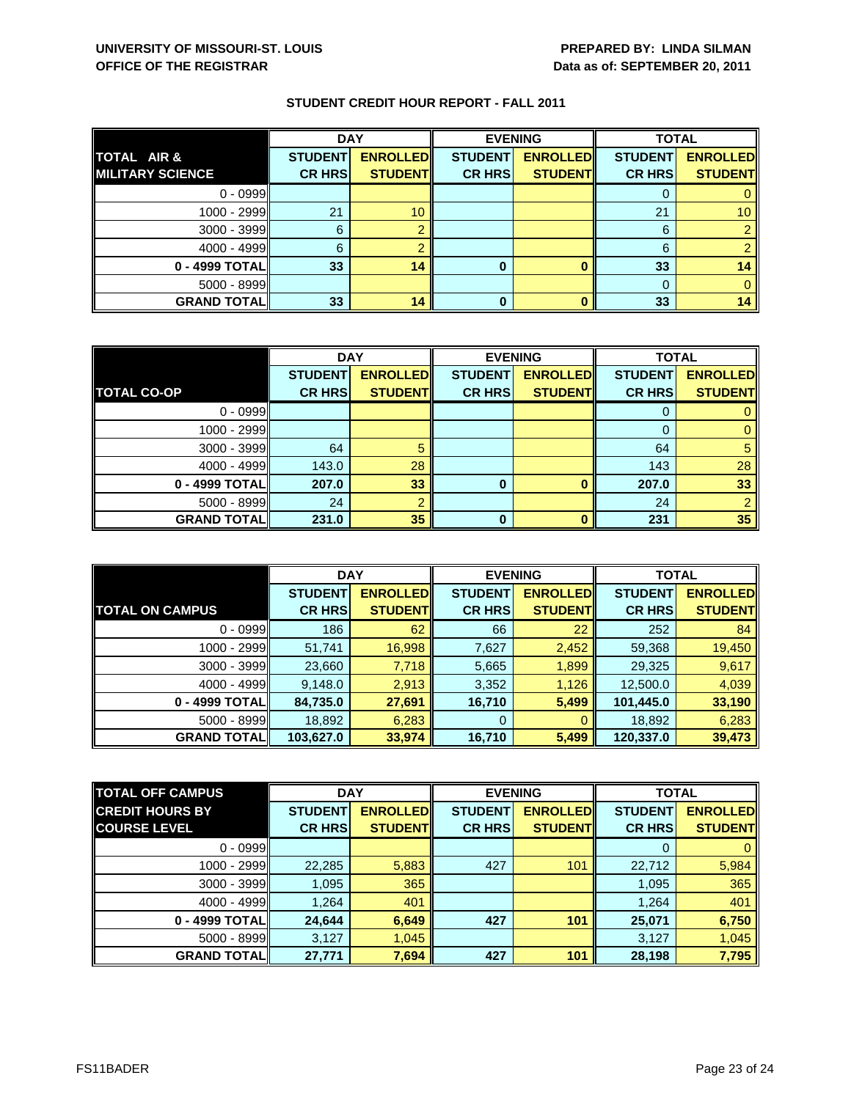|                         | <b>DAY</b>     |                 | <b>EVENING</b> |                 | <b>TOTAL</b>   |                 |
|-------------------------|----------------|-----------------|----------------|-----------------|----------------|-----------------|
| <b>TOTAL AIR &amp;</b>  | <b>STUDENT</b> | <b>ENROLLED</b> | <b>STUDENT</b> | <b>ENROLLED</b> | <b>STUDENT</b> | <b>ENROLLED</b> |
| <b>MILITARY SCIENCE</b> | <b>CR HRS</b>  | <b>STUDENT</b>  | <b>CR HRS</b>  | <b>STUDENT</b>  | <b>CR HRS</b>  | <b>STUDENT</b>  |
| $0 - 0999$              |                |                 |                |                 |                |                 |
| $1000 - 2999$           | 21             | 10              |                |                 | 21             | 10 <sup>°</sup> |
| $3000 - 3999$           | 6              |                 |                |                 | 6              |                 |
| $4000 - 4999$           | 6              |                 |                |                 | 6              |                 |
| $0 - 4999$ TOTAL        | 33             | 14              | 0              |                 | 33             | 14              |
| $5000 - 8999$           |                |                 |                |                 |                |                 |
| <b>GRAND TOTAL</b>      | 33             | 14              | 0              |                 | 33             | 14              |

|                    | <b>DAY</b>     |                 | <b>EVENING</b> |                 | <b>TOTAL</b>   |                 |
|--------------------|----------------|-----------------|----------------|-----------------|----------------|-----------------|
|                    | <b>STUDENT</b> | <b>ENROLLED</b> | <b>STUDENT</b> | <b>ENROLLED</b> | <b>STUDENT</b> | <b>ENROLLED</b> |
| <b>TOTAL CO-OP</b> | <b>CR HRS</b>  | <b>STUDENT</b>  | <b>CR HRS</b>  | <b>STUDENT</b>  | <b>CR HRS</b>  | <b>STUDENT</b>  |
| $0 - 0999$         |                |                 |                |                 |                | 0               |
| 1000 - 2999        |                |                 |                |                 | 0              | 0               |
| $3000 - 3999$      | 64             | 5               |                |                 | 64             | 5               |
| $4000 - 4999$      | 143.0          | 28              |                |                 | 143            | 28              |
| 0 - 4999 TOTAL     | 207.0          | 33              | 0              |                 | 207.0          | 33              |
| $5000 - 8999$      | 24             | റ               |                |                 | 24             | $\overline{2}$  |
| <b>GRAND TOTAL</b> | 231.0          | 35              | $\Omega$       |                 | 231            | 35              |

|                        | <b>DAY</b>     |                 | <b>EVENING</b> |                 | <b>TOTAL</b>   |                 |
|------------------------|----------------|-----------------|----------------|-----------------|----------------|-----------------|
|                        | <b>STUDENT</b> | <b>ENROLLED</b> | <b>STUDENT</b> | <b>ENROLLED</b> | <b>STUDENT</b> | <b>ENROLLED</b> |
| <b>TOTAL ON CAMPUS</b> | <b>CR HRS</b>  | <b>STUDENTI</b> | <b>CR HRS</b>  | <b>STUDENT</b>  | <b>CR HRS</b>  | <b>STUDENT</b>  |
| $0 - 0999$             | 186            | 62              | 66             | 22              | 252            | 84              |
| 1000 - 2999            | 51,741         | 16,998          | 7,627          | 2,452           | 59,368         | 19,450          |
| $3000 - 3999$          | 23,660         | 7,718           | 5,665          | 1,899           | 29,325         | 9,617           |
| $4000 - 4999$          | 9,148.0        | 2,913           | 3,352          | 1,126           | 12,500.0       | 4,039           |
| $0 - 4999$ TOTAL       | 84,735.0       | 27,691          | 16,710         | 5,499           | 101,445.0      | 33,190          |
| $5000 - 8999$          | 18,892         | 6,283           | 0              |                 | 18,892         | 6,283           |
| <b>GRAND TOTALI</b>    | 103,627.0      | 33,974          | 16,710         | 5,499           | 120,337.0      | 39,473          |

| <b>TOTAL OFF CAMPUS</b> | <b>DAY</b>     |                  | <b>EVENING</b> |                 | <b>TOTAL</b>   |                 |
|-------------------------|----------------|------------------|----------------|-----------------|----------------|-----------------|
| <b>CREDIT HOURS BY</b>  | <b>STUDENT</b> | <b>ENROLLEDI</b> | <b>STUDENT</b> | <b>ENROLLED</b> | <b>STUDENT</b> | <b>ENROLLED</b> |
| <b>COURSE LEVEL</b>     | <b>CR HRS</b>  | <b>STUDENT</b>   | <b>CR HRS</b>  | <b>STUDENT</b>  | <b>CR HRS</b>  | <b>STUDENT</b>  |
| $0 - 0999$              |                |                  |                |                 | 0              | $\mathbf{0}$    |
| 1000 - 2999             | 22,285         | 5,883            | 427            | 101             | 22,712         | 5,984           |
| $3000 - 3999$           | 1,095          | 365              |                |                 | 1,095          | 365             |
| $4000 - 4999$           | 1,264          | 401              |                |                 | 1,264          | 401             |
| 0 - 4999 TOTAL          | 24,644         | 6,649            | 427            | 101             | 25,071         | 6,750           |
| $5000 - 8999$           | 3,127          | 1,045            |                |                 | 3,127          | 1,045           |
| <b>GRAND TOTAL</b>      | 27,771         | 7,694            | 427            | 101             | 28,198         | 7,795           |